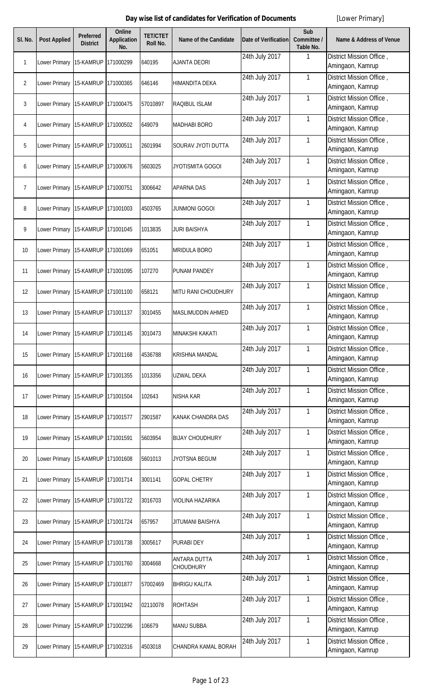| SI. No.        | <b>Post Applied</b>               | <b>Preferred</b><br><b>District</b> | <b>Online</b><br><b>Application</b><br>No. | <b>TET/CTET</b><br>Roll No. | <b>Name of the Candidate</b>            | <b>Date of Verification</b> | Sub<br>Committee /<br>Table No. | <b>Name &amp; Address of Venue</b>           |
|----------------|-----------------------------------|-------------------------------------|--------------------------------------------|-----------------------------|-----------------------------------------|-----------------------------|---------------------------------|----------------------------------------------|
| $\mathbf{1}$   | Lower Primary                     | 15-KAMRUP                           | 171000299                                  | 640195                      | <b>AJANTA DEORI</b>                     | 24th July 2017              | 1                               | District Mission Office,<br>Amingaon, Kamrup |
| $\overline{2}$ | Lower Primary 15-KAMRUP           |                                     | 171000365                                  | 646146                      | <b>HIMANDITA DEKA</b>                   | 24th July 2017              | $\mathbf{1}$                    | District Mission Office,<br>Amingaon, Kamrup |
| 3              | Lower Primary                     | 15-KAMRUP                           | 171000475                                  | 57010897                    | <b>RAQIBUL ISLAM</b>                    | 24th July 2017              | 1                               | District Mission Office,<br>Amingaon, Kamrup |
| 4              | Lower Primary 15-KAMRUP           |                                     | 171000502                                  | 649079                      | <b>MADHABI BORO</b>                     | 24th July 2017              | 1                               | District Mission Office,<br>Amingaon, Kamrup |
| 5              | Lower Primary                     | 15-KAMRUP                           | 171000511                                  | 2601994                     | SOURAV JYOTI DUTTA                      | 24th July 2017              | 1                               | District Mission Office,<br>Amingaon, Kamrup |
| 6              | Lower Primary 15-KAMRUP           |                                     | 171000676                                  | 5603025                     | JYOTISMITA GOGOI                        | 24th July 2017              | 1                               | District Mission Office,<br>Amingaon, Kamrup |
| $\overline{7}$ | Lower Primary 15-KAMRUP 171000751 |                                     |                                            | 3006642                     | <b>APARNA DAS</b>                       | 24th July 2017              | $\mathbf{1}$                    | District Mission Office,<br>Amingaon, Kamrup |
| 8              | Lower Primary 15-KAMRUP 171001003 |                                     |                                            | 4503765                     | <b>JUNMONI GOGOI</b>                    | 24th July 2017              | 1                               | District Mission Office,<br>Amingaon, Kamrup |
| 9              | Lower Primary 15-KAMRUP 171001045 |                                     |                                            | 1013835                     | <b>JURI BAISHYA</b>                     | 24th July 2017              | 1                               | District Mission Office,<br>Amingaon, Kamrup |
| 10             | Lower Primary 15-KAMRUP 171001069 |                                     |                                            | 651051                      | <b>MRIDULA BORO</b>                     | 24th July 2017              | $\mathbf{1}$                    | District Mission Office,<br>Amingaon, Kamrup |
| 11             | Lower Primary 15-KAMRUP 171001095 |                                     |                                            | 107270                      | <b>PUNAM PANDEY</b>                     | 24th July 2017              | $\mathbf{1}$                    | District Mission Office,<br>Amingaon, Kamrup |
| 12             | Lower Primary                     | 15-KAMRUP                           | 171001100                                  | 658121                      | MITU RANI CHOUDHURY                     | 24th July 2017              | $\mathbf{1}$                    | District Mission Office,<br>Amingaon, Kamrup |
| 13             | Lower Primary 15-KAMRUP           |                                     | 171001137                                  | 3010455                     | <b>MASLIMUDDIN AHMED</b>                | 24th July 2017              | $\mathbf{1}$                    | District Mission Office,<br>Amingaon, Kamrup |
| 14             | Lower Primary 15-KAMRUP 171001145 |                                     |                                            | 3010473                     | MINAKSHI KAKATI                         | 24th July 2017              | 1                               | District Mission Office,<br>Amingaon, Kamrup |
| 15             | Lower Primary                     | 15-KAMRUP                           | 171001168                                  | 4536788                     | <b>KRISHNA MANDAL</b>                   | 24th July 2017              | $\mathbf{1}$                    | District Mission Office,<br>Amingaon, Kamrup |
| 16             | Lower Primary 15-KAMRUP 171001355 |                                     |                                            | 1013356                     | <b>UZWAL DEKA</b>                       | 24th July 2017              | $\mathbf{1}$                    | District Mission Office,<br>Amingaon, Kamrup |
| 17             | Lower Primary                     | 15-KAMRUP                           | 171001504                                  | 102643                      | <b>NISHA KAR</b>                        | 24th July 2017              | $\mathbf{1}$                    | District Mission Office,<br>Amingaon, Kamrup |
| 18             | Lower Primary 15-KAMRUP 171001577 |                                     |                                            | 2901587                     | <b>KANAK CHANDRA DAS</b>                | 24th July 2017              | $\mathbf{1}$                    | District Mission Office,<br>Amingaon, Kamrup |
| 19             | Lower Primary                     | 15-KAMRUP                           | 171001591                                  | 5603954                     | <b>BIJAY CHOUDHURY</b>                  | 24th July 2017              | $\mathbf{1}$                    | District Mission Office,<br>Amingaon, Kamrup |
| 20             | Lower Primary 15-KAMRUP           |                                     | 171001608                                  | 5601013                     | JYOTSNA BEGUM                           | 24th July 2017              | $\mathbf{1}$                    | District Mission Office,<br>Amingaon, Kamrup |
| 21             | Lower Primary                     | 15-KAMRUP                           | 171001714                                  | 3001141                     | <b>GOPAL CHETRY</b>                     | 24th July 2017              | 1                               | District Mission Office,<br>Amingaon, Kamrup |
| 22             | Lower Primary 15-KAMRUP           |                                     | 171001722                                  | 3016703                     | <b>VIOLINA HAZARIKA</b>                 | 24th July 2017              | 1                               | District Mission Office,<br>Amingaon, Kamrup |
| 23             | Lower Primary 15-KAMRUP 171001724 |                                     |                                            | 657957                      | JITUMANI BAISHYA                        | 24th July 2017              | 1                               | District Mission Office,<br>Amingaon, Kamrup |
| 24             | Lower Primary 15-KAMRUP           |                                     | 171001738                                  | 3005617                     | <b>PURABI DEY</b>                       | 24th July 2017              | 1                               | District Mission Office,<br>Amingaon, Kamrup |
| 25             | Lower Primary 15-KAMRUP 171001760 |                                     |                                            | 3004668                     | <b>ANTARA DUTTA</b><br><b>CHOUDHURY</b> | 24th July 2017              | $\mathbf{1}$                    | District Mission Office,<br>Amingaon, Kamrup |
| 26             | Lower Primary 15-KAMRUP           |                                     | 171001877                                  | 57002469                    | <b>BHRIGU KALITA</b>                    | 24th July 2017              | $\mathbf{1}$                    | District Mission Office,<br>Amingaon, Kamrup |
| 27             | Lower Primary 15-KAMRUP 171001942 |                                     |                                            | 02110078                    | <b>ROHTASH</b>                          | 24th July 2017              | $\mathbf{1}$                    | District Mission Office,<br>Amingaon, Kamrup |
| 28             | Lower Primary 15-KAMRUP 171002296 |                                     |                                            | 106679                      | <b>MANU SUBBA</b>                       | 24th July 2017              | $\mathbf{1}$                    | District Mission Office,<br>Amingaon, Kamrup |
| 29             | Lower Primary 15-KAMRUP 171002316 |                                     |                                            | 4503018                     | CHANDRA KAMAL BORAH                     | 24th July 2017              | $\mathbf{1}$                    | District Mission Office,<br>Amingaon, Kamrup |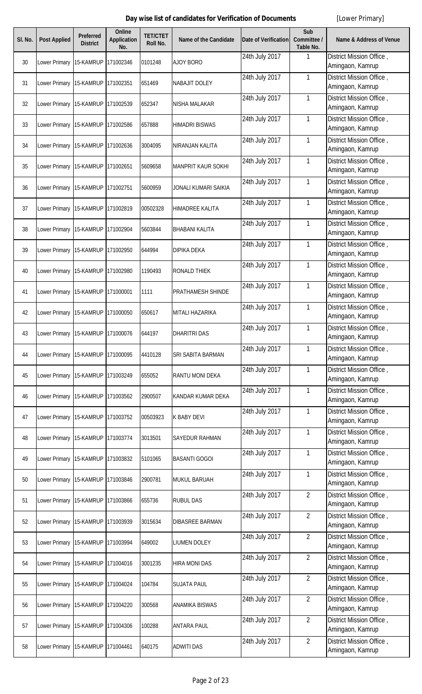| SI. No. | <b>Post Applied</b>               | <b>Preferred</b><br><b>District</b> | <b>Online</b><br><b>Application</b><br>No. | <b>TET/CTET</b><br><b>Roll No.</b> | <b>Name of the Candidate</b> | <b>Date of Verification</b> | Sub<br>Committee /<br>Table No. | <b>Name &amp; Address of Venue</b>           |
|---------|-----------------------------------|-------------------------------------|--------------------------------------------|------------------------------------|------------------------------|-----------------------------|---------------------------------|----------------------------------------------|
| 30      | Lower Primary                     | 15-KAMRUP                           | 171002346                                  | 0101248                            | <b>AJOY BORO</b>             | 24th July 2017              | $\mathbf{1}$                    | District Mission Office,<br>Amingaon, Kamrup |
| 31      | Lower Primary 15-KAMRUP           |                                     | 171002351                                  | 651469                             | <b>NABAJIT DOLEY</b>         | 24th July 2017              | $\mathbf{1}$                    | District Mission Office,<br>Amingaon, Kamrup |
| 32      | Lower Primary                     | 15-KAMRUP                           | 171002539                                  | 652347                             | <b>NISHA MALAKAR</b>         | 24th July 2017              | $\mathbf{1}$                    | District Mission Office,<br>Amingaon, Kamrup |
| 33      | Lower Primary 15-KAMRUP           |                                     | 171002586                                  | 657888                             | <b>HIMADRI BISWAS</b>        | 24th July 2017              | $\mathbf{1}$                    | District Mission Office,<br>Amingaon, Kamrup |
| 34      | Lower Primary                     | 15-KAMRUP                           | 171002636                                  | 3004095                            | NIRANJAN KALITA              | 24th July 2017              | 1                               | District Mission Office,<br>Amingaon, Kamrup |
| 35      | Lower Primary 15-KAMRUP           |                                     | 171002651                                  | 5609658                            | <b>MANPRIT KAUR SOKHI</b>    | 24th July 2017              | 1                               | District Mission Office,<br>Amingaon, Kamrup |
| 36      | Lower Primary 15-KAMRUP           |                                     | 171002751                                  | 5600959                            | <b>JONALI KUMARI SAIKIA</b>  | 24th July 2017              | $\mathbf{1}$                    | District Mission Office,<br>Amingaon, Kamrup |
| 37      | Lower Primary 15-KAMRUP           |                                     | 171002819                                  | 00502328                           | <b>HIMADREE KALITA</b>       | 24th July 2017              | $\mathbf{1}$                    | District Mission Office,<br>Amingaon, Kamrup |
| 38      | Lower Primary 15-KAMRUP           |                                     | 171002904                                  | 5603844                            | <b>BHABANI KALITA</b>        | 24th July 2017              | $\mathbf{1}$                    | District Mission Office,<br>Amingaon, Kamrup |
| 39      | Lower Primary 15-KAMRUP           |                                     | 171002950                                  | 644994                             | <b>DIPIKA DEKA</b>           | 24th July 2017              | $\mathbf{1}$                    | District Mission Office,<br>Amingaon, Kamrup |
| 40      | Lower Primary 15-KAMRUP           |                                     | 171002980                                  | 1190493                            | <b>RONALD THIEK</b>          | 24th July 2017              | $\mathbf{1}$                    | District Mission Office,<br>Amingaon, Kamrup |
| 41      | Lower Primary 15-KAMRUP           |                                     | 171000001                                  | 1111                               | <b>PRATHAMESH SHINDE</b>     | 24th July 2017              | $\mathbf{1}$                    | District Mission Office,<br>Amingaon, Kamrup |
| 42      | Lower Primary 15-KAMRUP           |                                     | 171000050                                  | 650617                             | MITALI HAZARIKA              | 24th July 2017              | $\mathbf{1}$                    | District Mission Office,<br>Amingaon, Kamrup |
| 43      | Lower Primary 15-KAMRUP 171000076 |                                     |                                            | 644197                             | <b>DHARITRI DAS</b>          | 24th July 2017              | $\mathbf{1}$                    | District Mission Office,<br>Amingaon, Kamrup |
| 44      | Lower Primary                     | 15-KAMRUP                           | 171000095                                  | 4410128                            | SRI SABITA BARMAN            | 24th July 2017              | $\mathbf{1}$                    | District Mission Office,<br>Amingaon, Kamrup |
| 45      | Lower Primary 15-KAMRUP           |                                     | 171003249                                  | 655052                             | <b>RANTU MONI DEKA</b>       | 24th July 2017              | $\mathbf{1}$                    | District Mission Office,<br>Amingaon, Kamrup |
| 46      | Lower Primary                     | 15-KAMRUP                           | 171003562                                  | 2900507                            | <b>KANDAR KUMAR DEKA</b>     | 24th July 2017              | $\mathbf{1}$                    | District Mission Office,<br>Amingaon, Kamrup |
| 47      | Lower Primary 15-KAMRUP           |                                     | 171003752                                  | 00503923                           | <b>K BABY DEVI</b>           | 24th July 2017              | $\mathbf{1}$                    | District Mission Office,<br>Amingaon, Kamrup |
| 48      | Lower Primary 15-KAMRUP           |                                     | 171003774                                  | 3013501                            | <b>SAYEDUR RAHMAN</b>        | 24th July 2017              | $\mathbf{1}$                    | District Mission Office,<br>Amingaon, Kamrup |
| 49      | Lower Primary 15-KAMRUP           |                                     | 171003832                                  | 5101065                            | <b>BASANTI GOGOI</b>         | 24th July 2017              | $\mathbf{1}$                    | District Mission Office,<br>Amingaon, Kamrup |
| 50      | Lower Primary                     | 15-KAMRUP                           | 171003846                                  | 2900781                            | <b>MUKUL BARUAH</b>          | 24th July 2017              | $\mathbf{1}$                    | District Mission Office,<br>Amingaon, Kamrup |
| 51      | Lower Primary 15-KAMRUP           |                                     | 171003866                                  | 655736                             | <b>RUBUL DAS</b>             | 24th July 2017              | $\overline{2}$                  | District Mission Office,<br>Amingaon, Kamrup |
| 52      | Lower Primary 15-KAMRUP           |                                     | 171003939                                  | 3015634                            | <b>DIBASREE BARMAN</b>       | 24th July 2017              | $\overline{2}$                  | District Mission Office,<br>Amingaon, Kamrup |
| 53      | Lower Primary 15-KAMRUP           |                                     | 171003994                                  | 649002                             | <b>LIUMEN DOLEY</b>          | 24th July 2017              | $\overline{2}$                  | District Mission Office,<br>Amingaon, Kamrup |
| 54      | Lower Primary 15-KAMRUP           |                                     | 171004016                                  | 3001235                            | <b>HIRA MONI DAS</b>         | 24th July 2017              | $\overline{2}$                  | District Mission Office,<br>Amingaon, Kamrup |
| 55      | Lower Primary 15-KAMRUP           |                                     | 171004024                                  | 104784                             | <b>SUJATA PAUL</b>           | 24th July 2017              | $\overline{2}$                  | District Mission Office,<br>Amingaon, Kamrup |
| 56      | Lower Primary 15-KAMRUP           |                                     | 171004220                                  | 300568                             | <b>ANAMIKA BISWAS</b>        | 24th July 2017              | $\overline{2}$                  | District Mission Office,<br>Amingaon, Kamrup |
| 57      | Lower Primary 15-KAMRUP           |                                     | 171004306                                  | 100288                             | <b>ANTARA PAUL</b>           | 24th July 2017              | $\overline{2}$                  | District Mission Office,<br>Amingaon, Kamrup |
| 58      | Lower Primary 15-KAMRUP 171004461 |                                     |                                            | 640175                             | <b>ADWITI DAS</b>            | 24th July 2017              | $\overline{2}$                  | District Mission Office,<br>Amingaon, Kamrup |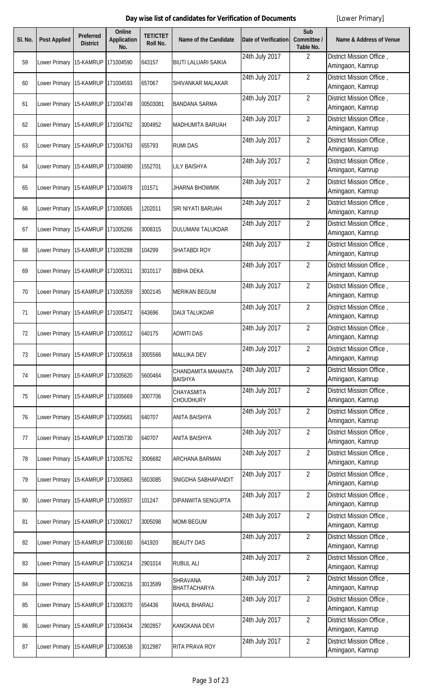| SI. No. | <b>Post Applied</b>               | Preferred<br><b>District</b> | <b>Online</b><br><b>Application</b><br>No. | <b>TET/CTET</b><br>Roll No. | Name of the Candidate                | <b>Date of Verification</b> | Sub<br>Committee /<br>Table No. | <b>Name &amp; Address of Venue</b>           |
|---------|-----------------------------------|------------------------------|--------------------------------------------|-----------------------------|--------------------------------------|-----------------------------|---------------------------------|----------------------------------------------|
| 59      | Lower Primary                     | 15-KAMRUP                    | 171004590                                  | 643157                      | <b>BIUTI LALUARI SAIKIA</b>          | 24th July 2017              | $\overline{2}$                  | District Mission Office,<br>Amingaon, Kamrup |
| 60      | Lower Primary 15-KAMRUP           |                              | 171004593                                  | 657067                      | SHIVANKAR MALAKAR                    | 24th July 2017              | $\overline{2}$                  | District Mission Office,<br>Amingaon, Kamrup |
| 61      | Lower Primary 15-KAMRUP           |                              | 171004749                                  | 00503081                    | <b>BANDANA SARMA</b>                 | 24th July 2017              | $\overline{2}$                  | District Mission Office,<br>Amingaon, Kamrup |
| 62      | Lower Primary 15-KAMRUP           |                              | 171004762                                  | 3004952                     | MADHUMITA BARUAH                     | 24th July 2017              | $\overline{2}$                  | District Mission Office,<br>Amingaon, Kamrup |
| 63      | Lower Primary 15-KAMRUP           |                              | 171004763                                  | 655793                      | <b>RUMI DAS</b>                      | 24th July 2017              | $\overline{2}$                  | District Mission Office,<br>Amingaon, Kamrup |
| 64      | Lower Primary                     | 15-KAMRUP                    | 171004890                                  | 1552701                     | <b>LILY BAISHYA</b>                  | 24th July 2017              | $\overline{2}$                  | District Mission Office,<br>Amingaon, Kamrup |
| 65      | Lower Primary 15-KAMRUP           |                              | 171004978                                  | 101571                      | JHARNA BHOWMIK                       | 24th July 2017              | $\overline{2}$                  | District Mission Office,<br>Amingaon, Kamrup |
| 66      | Lower Primary                     | 15-KAMRUP                    | 171005065                                  | 1202011                     | SRI NIYATI BARUAH                    | 24th July 2017              | $\overline{2}$                  | District Mission Office,<br>Amingaon, Kamrup |
| 67      | Lower Primary 15-KAMRUP           |                              | 171005266                                  | 3008315                     | <b>DULUMANI TALUKDAR</b>             | 24th July 2017              | $\overline{2}$                  | District Mission Office,<br>Amingaon, Kamrup |
| 68      | Lower Primary                     | 15-KAMRUP                    | 171005288                                  | 104299                      | SHATABDI ROY                         | 24th July 2017              | $\overline{2}$                  | District Mission Office,<br>Amingaon, Kamrup |
| 69      | Lower Primary 15-KAMRUP           |                              | 171005311                                  | 3010117                     | <b>BIBHA DEKA</b>                    | 24th July 2017              | $\overline{2}$                  | District Mission Office,<br>Amingaon, Kamrup |
| 70      | Lower Primary 15-KAMRUP           |                              | 171005359                                  | 3002145                     | <b>MERIKAN BEGUM</b>                 | 24th July 2017              | $\overline{2}$                  | District Mission Office,<br>Amingaon, Kamrup |
| 71      | Lower Primary 15-KAMRUP           |                              | 171005472                                  | 643696                      | <b>DAIJI TALUKDAR</b>                | 24th July 2017              | $\overline{2}$                  | District Mission Office,<br>Amingaon, Kamrup |
| 72      | Lower Primary 15-KAMRUP 171005512 |                              |                                            | 640175                      | <b>ADWITI DAS</b>                    | 24th July 2017              | $\overline{2}$                  | District Mission Office,<br>Amingaon, Kamrup |
| 73      | Lower Primary                     | 15-KAMRUP                    | 171005618                                  | 3005566                     | <b>MALLIKA DEV</b>                   | 24th July 2017              | $\overline{2}$                  | District Mission Office,<br>Amingaon, Kamrup |
| 74      | Lower Primary 15-KAMRUP 171005620 |                              |                                            | 5600464                     | CHANDAMITA MAHANTA<br><b>BAISHYA</b> | 24th July 2017              | $\overline{2}$                  | District Mission Office,<br>Amingaon, Kamrup |
| 75      | Lower Primary 15-KAMRUP           |                              | 171005669                                  | 3007706                     | CHAYASMITA<br><b>CHOUDHURY</b>       | 24th July 2017              | $\overline{2}$                  | District Mission Office,<br>Amingaon, Kamrup |
| 76      | Lower Primary 15-KAMRUP 171005681 |                              |                                            | 640707                      | ANITA BAISHYA                        | 24th July 2017              | $\overline{2}$                  | District Mission Office,<br>Amingaon, Kamrup |
| 77      | Lower Primary 15-KAMRUP           |                              | 171005730                                  | 640707                      | <b>ANITA BAISHYA</b>                 | 24th July 2017              | $\overline{2}$                  | District Mission Office,<br>Amingaon, Kamrup |
| 78      | Lower Primary 15-KAMRUP           |                              | 171005762                                  | 3006682                     | ARCHANA BARMAN                       | 24th July 2017              | $\overline{a}$                  | District Mission Office,<br>Amingaon, Kamrup |
| 79      | Lower Primary 15-KAMRUP 171005863 |                              |                                            | 5603085                     | SNIGDHA SABHAPANDIT                  | 24th July 2017              | $\overline{2}$                  | District Mission Office,<br>Amingaon, Kamrup |
| 80      | Lower Primary 15-KAMRUP 171005937 |                              |                                            | 101247                      | DIPANWITA SENGUPTA                   | 24th July 2017              | $\overline{2}$                  | District Mission Office,<br>Amingaon, Kamrup |
| 81      | Lower Primary 15-KAMRUP 171006017 |                              |                                            | 3005098                     | <b>MOMI BEGUM</b>                    | 24th July 2017              | $\overline{2}$                  | District Mission Office,<br>Amingaon, Kamrup |
| 82      | Lower Primary 15-KAMRUP           |                              | 171006160                                  | 641920                      | <b>BEAUTY DAS</b>                    | 24th July 2017              | $\overline{2}$                  | District Mission Office,<br>Amingaon, Kamrup |
| 83      | Lower Primary 15-KAMRUP           |                              | 171006214                                  | 2901014                     | <b>RUBUL ALI</b>                     | 24th July 2017              | $\overline{2}$                  | District Mission Office,<br>Amingaon, Kamrup |
| 84      | Lower Primary 15-KAMRUP           |                              | 171006216                                  | 3013589                     | SHRAVANA<br>BHATTACHARYA             | 24th July 2017              | $\overline{2}$                  | District Mission Office,<br>Amingaon, Kamrup |
| 85      | Lower Primary 15-KAMRUP           |                              | 171006370                                  | 654436                      | RAHUL BHARALI                        | 24th July 2017              | $\overline{2}$                  | District Mission Office,<br>Amingaon, Kamrup |
| 86      | Lower Primary                     | 15-KAMRUP                    | 171006434                                  | 2902857                     | <b>KANGKANA DEVI</b>                 | 24th July 2017              | $\overline{2}$                  | District Mission Office,<br>Amingaon, Kamrup |
| 87      | Lower Primary 15-KAMRUP 171006538 |                              |                                            | 3012987                     | <b>RITA PRAVA ROY</b>                | 24th July 2017              | $\overline{2}$                  | District Mission Office,<br>Amingaon, Kamrup |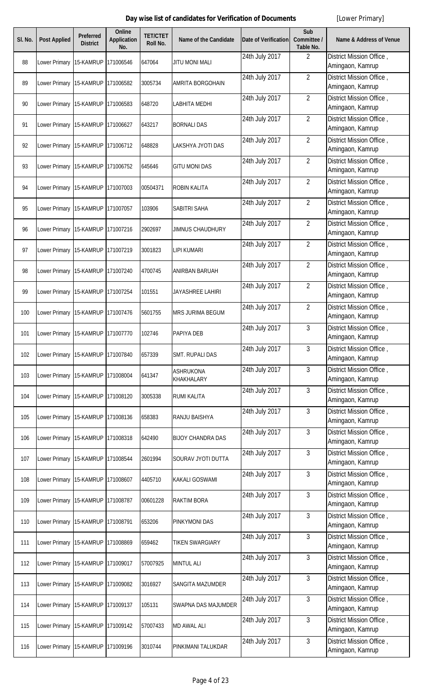| SI. No. | <b>Post Applied</b>               | <b>Preferred</b><br><b>District</b> | <b>Online</b><br><b>Application</b><br>No. | <b>TET/CTET</b><br><b>Roll No.</b> | <b>Name of the Candidate</b>          | <b>Date of Verification</b> | Sub<br>Committee /<br>Table No. | <b>Name &amp; Address of Venue</b>           |
|---------|-----------------------------------|-------------------------------------|--------------------------------------------|------------------------------------|---------------------------------------|-----------------------------|---------------------------------|----------------------------------------------|
| 88      | Lower Primary                     | 15-KAMRUP                           | 171006546                                  | 647064                             | <b>JITU MONI MALI</b>                 | 24th July 2017              | $\overline{2}$                  | District Mission Office,<br>Amingaon, Kamrup |
| 89      | Lower Primary 15-KAMRUP           |                                     | 171006582                                  | 3005734                            | <b>AMRITA BORGOHAIN</b>               | 24th July 2017              | $\overline{2}$                  | District Mission Office,<br>Amingaon, Kamrup |
| 90      | Lower Primary                     | 15-KAMRUP                           | 171006583                                  | 648720                             | <b>LABHITA MEDHI</b>                  | 24th July 2017              | $\overline{2}$                  | District Mission Office,<br>Amingaon, Kamrup |
| 91      | Lower Primary 15-KAMRUP           |                                     | 171006627                                  | 643217                             | <b>BORNALI DAS</b>                    | 24th July 2017              | $\overline{2}$                  | District Mission Office,<br>Amingaon, Kamrup |
| 92      | Lower Primary                     | 15-KAMRUP                           | 171006712                                  | 648828                             | LAKSHYA JYOTI DAS                     | 24th July 2017              | $\overline{2}$                  | District Mission Office,<br>Amingaon, Kamrup |
| 93      | Lower Primary 15-KAMRUP           |                                     | 171006752                                  | 645646                             | <b>GITU MONI DAS</b>                  | 24th July 2017              | $\overline{2}$                  | District Mission Office,<br>Amingaon, Kamrup |
| 94      | Lower Primary 15-KAMRUP           |                                     | 171007003                                  | 00504371                           | <b>ROBIN KALITA</b>                   | 24th July 2017              | $\overline{2}$                  | District Mission Office,<br>Amingaon, Kamrup |
| 95      | Lower Primary 15-KAMRUP           |                                     | 171007057                                  | 103906                             | <b>SABITRI SAHA</b>                   | 24th July 2017              | $\overline{2}$                  | District Mission Office,<br>Amingaon, Kamrup |
| 96      | Lower Primary 15-KAMRUP           |                                     | 171007216                                  | 2902697                            | <b>JIMNUS CHAUDHURY</b>               | 24th July 2017              | $\overline{2}$                  | District Mission Office,<br>Amingaon, Kamrup |
| 97      | Lower Primary 15-KAMRUP           |                                     | 171007219                                  | 3001823                            | <b>LIPI KUMARI</b>                    | 24th July 2017              | $\overline{2}$                  | District Mission Office,<br>Amingaon, Kamrup |
| 98      | Lower Primary 15-KAMRUP           |                                     | 171007240                                  | 4700745                            | <b>ANIRBAN BARUAH</b>                 | 24th July 2017              | $\overline{2}$                  | District Mission Office,<br>Amingaon, Kamrup |
| 99      | Lower Primary 15-KAMRUP           |                                     | 171007254                                  | 101551                             | <b>JAYASHREE LAHIRI</b>               | 24th July 2017              | $\overline{2}$                  | District Mission Office,<br>Amingaon, Kamrup |
| 100     | Lower Primary 15-KAMRUP           |                                     | 171007476                                  | 5601755                            | <b>MRS JURIMA BEGUM</b>               | 24th July 2017              | $\overline{2}$                  | District Mission Office,<br>Amingaon, Kamrup |
| 101     | Lower Primary 15-KAMRUP 171007770 |                                     |                                            | 102746                             | PAPIYA DEB                            | 24th July 2017              | $\mathbf{3}$                    | District Mission Office,<br>Amingaon, Kamrup |
| 102     | Lower Primary                     | 15-KAMRUP                           | 171007840                                  | 657339                             | <b>SMT. RUPALI DAS</b>                | 24th July 2017              | 3                               | District Mission Office,<br>Amingaon, Kamrup |
| 103     | Lower Primary 15-KAMRUP           |                                     | 171008004                                  | 641347                             | <b>ASHRUKONA</b><br><b>KHAKHALARY</b> | 24th July 2017              | $\mathbf{3}$                    | District Mission Office,<br>Amingaon, Kamrup |
| 104     | Lower Primary                     | 15-KAMRUP                           | 171008120                                  | 3005338                            | <b>RUMI KALITA</b>                    | 24th July 2017              | $\mathbf{3}$                    | District Mission Office,<br>Amingaon, Kamrup |
| 105     | Lower Primary 15-KAMRUP           |                                     | 171008136                                  | 658383                             | RANJU BAISHYA                         | 24th July 2017              | 3                               | District Mission Office,<br>Amingaon, Kamrup |
| 106     | Lower Primary 15-KAMRUP           |                                     | 171008318                                  | 642490                             | <b>BIJOY CHANDRA DAS</b>              | 24th July 2017              | 3                               | District Mission Office,<br>Amingaon, Kamrup |
| 107     | Lower Primary 15-KAMRUP           |                                     | 171008544                                  | 2601994                            | SOURAV JYOTI DUTTA                    | 24th July 2017              | $\mathbf{3}$                    | District Mission Office,<br>Amingaon, Kamrup |
| 108     | Lower Primary                     | 15-KAMRUP                           | 171008607                                  | 4405710                            | <b>KAKALI GOSWAMI</b>                 | 24th July 2017              | 3                               | District Mission Office,<br>Amingaon, Kamrup |
| 109     | Lower Primary 15-KAMRUP           |                                     | 171008787                                  | 00601228                           | <b>RAKTIM BORA</b>                    | 24th July 2017              | 3                               | District Mission Office,<br>Amingaon, Kamrup |
| 110     | Lower Primary 15-KAMRUP           |                                     | 171008791                                  | 653206                             | <b>PINKYMONI DAS</b>                  | 24th July 2017              | $\mathfrak{Z}$                  | District Mission Office,<br>Amingaon, Kamrup |
| 111     | Lower Primary 15-KAMRUP           |                                     | 171008869                                  | 659462                             | <b>TIKEN SWARGIARY</b>                | 24th July 2017              | $\mathbf{3}$                    | District Mission Office,<br>Amingaon, Kamrup |
| 112     | Lower Primary                     | 15-KAMRUP                           | 171009017                                  | 57007925                           | <b>MINTUL ALI</b>                     | 24th July 2017              | $\mathbf{3}$                    | District Mission Office,<br>Amingaon, Kamrup |
| 113     | Lower Primary 15-KAMRUP           |                                     | 171009082                                  | 3016927                            | <b>SANGITA MAZUMDER</b>               | 24th July 2017              | 3                               | District Mission Office,<br>Amingaon, Kamrup |
| 114     | Lower Primary 15-KAMRUP           |                                     | 171009137                                  | 105131                             | <b>SWAPNA DAS MAJUMDER</b>            | 24th July 2017              | 3                               | District Mission Office,<br>Amingaon, Kamrup |
| 115     | Lower Primary 15-KAMRUP           |                                     | 171009142                                  | 57007433                           | <b>MD AWAL ALI</b>                    | 24th July 2017              | 3                               | District Mission Office,<br>Amingaon, Kamrup |
| 116     | Lower Primary 15-KAMRUP 171009196 |                                     |                                            | 3010744                            | PINKIMANI TALUKDAR                    | 24th July 2017              | 3                               | District Mission Office,<br>Amingaon, Kamrup |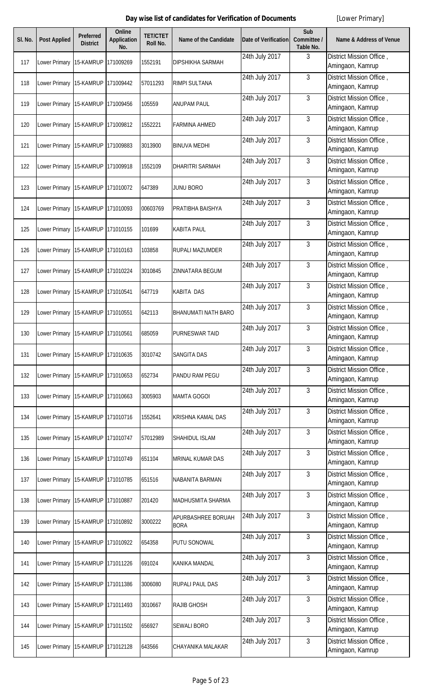| SI. No. | <b>Post Applied</b>               | <b>Preferred</b><br><b>District</b> | <b>Online</b><br><b>Application</b><br>No. | <b>TET/CTET</b><br>Roll No. | Name of the Candidate             | <b>Date of Verification</b> | Sub<br>Committee /<br>Table No. | <b>Name &amp; Address of Venue</b>           |
|---------|-----------------------------------|-------------------------------------|--------------------------------------------|-----------------------------|-----------------------------------|-----------------------------|---------------------------------|----------------------------------------------|
| 117     | Lower Primary                     | 15-KAMRUP                           | 171009269                                  | 1552191                     | <b>DIPSHIKHA SARMAH</b>           | 24th July 2017              | 3                               | District Mission Office,<br>Amingaon, Kamrup |
| 118     | Lower Primary 15-KAMRUP           |                                     | 171009442                                  | 57011293                    | <b>RIMPI SULTANA</b>              | 24th July 2017              | 3                               | District Mission Office,<br>Amingaon, Kamrup |
| 119     | Lower Primary                     | 15-KAMRUP                           | 171009456                                  | 105559                      | <b>ANUPAM PAUL</b>                | 24th July 2017              | $\mathbf{3}$                    | District Mission Office,<br>Amingaon, Kamrup |
| 120     | Lower Primary 15-KAMRUP           |                                     | 171009812                                  | 1552221                     | <b>FARMINA AHMED</b>              | 24th July 2017              | $\mathbf{3}$                    | District Mission Office,<br>Amingaon, Kamrup |
| 121     | Lower Primary 15-KAMRUP           |                                     | 171009883                                  | 3013900                     | <b>BINUVA MEDHI</b>               | 24th July 2017              | 3                               | District Mission Office,<br>Amingaon, Kamrup |
| 122     | Lower Primary 15-KAMRUP           |                                     | 171009918                                  | 1552109                     | <b>DHARITRI SARMAH</b>            | 24th July 2017              | 3                               | District Mission Office,<br>Amingaon, Kamrup |
| 123     | Lower Primary 15-KAMRUP           |                                     | 171010072                                  | 647389                      | <b>JUNU BORO</b>                  | 24th July 2017              | 3                               | District Mission Office,<br>Amingaon, Kamrup |
| 124     | Lower Primary 15-KAMRUP           |                                     | 171010093                                  | 00603769                    | PRATIBHA BAISHYA                  | 24th July 2017              | 3                               | District Mission Office,<br>Amingaon, Kamrup |
| 125     | Lower Primary 15-KAMRUP           |                                     | 171010155                                  | 101699                      | <b>KABITA PAUL</b>                | 24th July 2017              | 3                               | District Mission Office,<br>Amingaon, Kamrup |
| 126     | Lower Primary 15-KAMRUP           |                                     | 171010163                                  | 103858                      | <b>RUPALI MAZUMDER</b>            | 24th July 2017              | 3                               | District Mission Office,<br>Amingaon, Kamrup |
| 127     | Lower Primary 15-KAMRUP           |                                     | 171010224                                  | 3010845                     | ZINNATARA BEGUM                   | 24th July 2017              | 3                               | District Mission Office,<br>Amingaon, Kamrup |
| 128     | Lower Primary                     | 15-KAMRUP                           | 171010541                                  | 647719                      | <b>KABITA DAS</b>                 | 24th July 2017              | $\mathbf{3}$                    | District Mission Office,<br>Amingaon, Kamrup |
| 129     | Lower Primary                     | 15-KAMRUP                           | 171010551                                  | 642113                      | <b>BHANUMATI NATH BARO</b>        | 24th July 2017              | $\mathfrak{Z}$                  | District Mission Office,<br>Amingaon, Kamrup |
| 130     | Lower Primary 15-KAMRUP 171010561 |                                     |                                            | 685059                      | PURNESWAR TAID                    | 24th July 2017              | $\mathfrak{Z}$                  | District Mission Office,<br>Amingaon, Kamrup |
| 131     | Lower Primary                     | 15-KAMRUP                           | 171010635                                  | 3010742                     | <b>SANGITA DAS</b>                | 24th July 2017              | 3                               | District Mission Office,<br>Amingaon, Kamrup |
| 132     | Lower Primary 15-KAMRUP           |                                     | 171010653                                  | 652734                      | PANDU RAM PEGU                    | 24th July 2017              | 3                               | District Mission Office,<br>Amingaon, Kamrup |
| 133     | Lower Primary 15-KAMRUP           |                                     | 171010663                                  | 3005903                     | <b>MAMTA GOGOI</b>                | 24th July 2017              | 3                               | District Mission Office,<br>Amingaon, Kamrup |
| 134     | Lower Primary 15-KAMRUP           |                                     | 171010716                                  | 1552641                     | <b>KRISHNA KAMAL DAS</b>          | 24th July 2017              | $\mathbf{3}$                    | District Mission Office,<br>Amingaon, Kamrup |
| 135     | Lower Primary                     | 15-KAMRUP                           | 171010747                                  | 57012989                    | SHAHIDUL ISLAM                    | 24th July 2017              | 3                               | District Mission Office,<br>Amingaon, Kamrup |
| 136     | Lower Primary 15-KAMRUP           |                                     | 171010749                                  | 651104                      | <b>MRINAL KUMAR DAS</b>           | 24th July 2017              | $\mathbf{3}$                    | District Mission Office,<br>Amingaon, Kamrup |
| 137     | Lower Primary 15-KAMRUP           |                                     | 171010785                                  | 651516                      | NABANITA BARMAN                   | 24th July 2017              | $\mathfrak{Z}$                  | District Mission Office,<br>Amingaon, Kamrup |
| 138     | Lower Primary 15-KAMRUP           |                                     | 171010887                                  | 201420                      | <b>MADHUSMITA SHARMA</b>          | 24th July 2017              | 3                               | District Mission Office,<br>Amingaon, Kamrup |
| 139     | Lower Primary 15-KAMRUP           |                                     | 171010892                                  | 3000222                     | APURBASHREE BORUAH<br><b>BORA</b> | 24th July 2017              | $\mathbf{3}$                    | District Mission Office,<br>Amingaon, Kamrup |
| 140     | Lower Primary 15-KAMRUP           |                                     | 171010922                                  | 654358                      | <b>PUTU SONOWAL</b>               | 24th July 2017              | $\mathbf{3}$                    | District Mission Office,<br>Amingaon, Kamrup |
| 141     | Lower Primary 15-KAMRUP           |                                     | 171011226                                  | 691024                      | <b>KANIKA MANDAL</b>              | 24th July 2017              | $\mathbf{3}$                    | District Mission Office,<br>Amingaon, Kamrup |
| 142     | Lower Primary 15-KAMRUP           |                                     | 171011386                                  | 3006080                     | <b>RUPALI PAUL DAS</b>            | 24th July 2017              | 3                               | District Mission Office,<br>Amingaon, Kamrup |
| 143     | Lower Primary 15-KAMRUP           |                                     | 171011493                                  | 3010667                     | <b>RAJIB GHOSH</b>                | 24th July 2017              | 3                               | District Mission Office,<br>Amingaon, Kamrup |
| 144     | Lower Primary 15-KAMRUP           |                                     | 171011502                                  | 656927                      | <b>SEWALI BORO</b>                | 24th July 2017              | 3                               | District Mission Office,<br>Amingaon, Kamrup |
| 145     | Lower Primary 15-KAMRUP 171012128 |                                     |                                            | 643566                      | CHAYANIKA MALAKAR                 | 24th July 2017              | 3                               | District Mission Office,<br>Amingaon, Kamrup |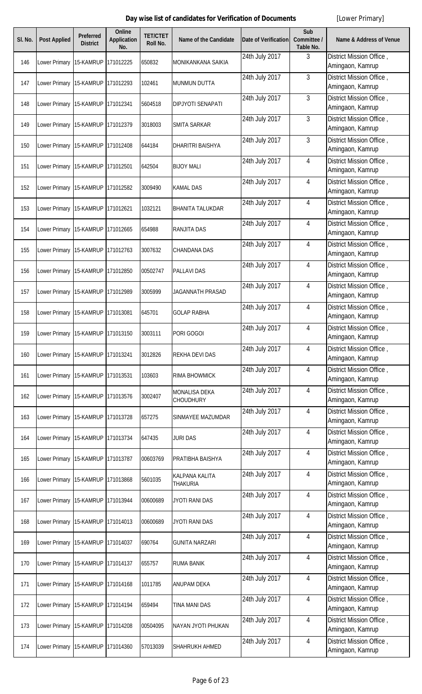| SI. No. | <b>Post Applied</b>               | <b>Preferred</b><br><b>District</b> | <b>Online</b><br><b>Application</b><br>No. | <b>TET/CTET</b><br>Roll No. | Name of the Candidate                    | <b>Date of Verification</b> | Sub<br>Committee /<br>Table No. | <b>Name &amp; Address of Venue</b>           |
|---------|-----------------------------------|-------------------------------------|--------------------------------------------|-----------------------------|------------------------------------------|-----------------------------|---------------------------------|----------------------------------------------|
| 146     | Lower Primary                     | 15-KAMRUP                           | 171012225                                  | 650832                      | <b>MONIKANKANA SAIKIA</b>                | 24th July 2017              | 3                               | District Mission Office,<br>Amingaon, Kamrup |
| 147     | Lower Primary 15-KAMRUP           |                                     | 171012293                                  | 102461                      | <b>MUNMUN DUTTA</b>                      | 24th July 2017              | 3                               | District Mission Office,<br>Amingaon, Kamrup |
| 148     | Lower Primary                     | 15-KAMRUP                           | 171012341                                  | 5604518                     | <b>DIPJYOTI SENAPATI</b>                 | 24th July 2017              | $\mathbf{3}$                    | District Mission Office,<br>Amingaon, Kamrup |
| 149     | Lower Primary 15-KAMRUP           |                                     | 171012379                                  | 3018003                     | SMITA SARKAR                             | 24th July 2017              | $\mathbf{3}$                    | District Mission Office,<br>Amingaon, Kamrup |
| 150     | Lower Primary 15-KAMRUP           |                                     | 171012408                                  | 644184                      | <b>DHARITRI BAISHYA</b>                  | 24th July 2017              | 3                               | District Mission Office,<br>Amingaon, Kamrup |
| 151     | Lower Primary 15-KAMRUP 171012501 |                                     |                                            | 642504                      | <b>BIJOY MALI</b>                        | 24th July 2017              | 4                               | District Mission Office,<br>Amingaon, Kamrup |
| 152     | Lower Primary 15-KAMRUP 171012582 |                                     |                                            | 3009490                     | <b>KAMAL DAS</b>                         | 24th July 2017              | $\overline{4}$                  | District Mission Office,<br>Amingaon, Kamrup |
| 153     | Lower Primary 15-KAMRUP 171012621 |                                     |                                            | 1032121                     | <b>BHANITA TALUKDAR</b>                  | 24th July 2017              | 4                               | District Mission Office,<br>Amingaon, Kamrup |
| 154     | Lower Primary 15-KAMRUP 171012665 |                                     |                                            | 654988                      | <b>RANJITA DAS</b>                       | 24th July 2017              | 4                               | District Mission Office,<br>Amingaon, Kamrup |
| 155     | Lower Primary 15-KAMRUP           |                                     | 171012763                                  | 3007632                     | <b>CHANDANA DAS</b>                      | 24th July 2017              | 4                               | District Mission Office,<br>Amingaon, Kamrup |
| 156     | Lower Primary 15-KAMRUP           |                                     | 171012850                                  | 00502747                    | <b>PALLAVI DAS</b>                       | 24th July 2017              | 4                               | District Mission Office,<br>Amingaon, Kamrup |
| 157     | Lower Primary                     | 15-KAMRUP                           | 171012989                                  | 3005999                     | JAGANNATH PRASAD                         | 24th July 2017              | 4                               | District Mission Office,<br>Amingaon, Kamrup |
| 158     | Lower Primary                     | 15-KAMRUP                           | 171013081                                  | 645701                      | <b>GOLAP RABHA</b>                       | 24th July 2017              | 4                               | District Mission Office,<br>Amingaon, Kamrup |
| 159     | Lower Primary 15-KAMRUP 171013150 |                                     |                                            | 3003111                     | PORI GOGOI                               | 24th July 2017              | 4                               | District Mission Office,<br>Amingaon, Kamrup |
| 160     | Lower Primary                     | 15-KAMRUP                           | 171013241                                  | 3012826                     | <b>REKHA DEVI DAS</b>                    | 24th July 2017              | 4                               | District Mission Office,<br>Amingaon, Kamrup |
| 161     | Lower Primary 15-KAMRUP 171013531 |                                     |                                            | 103603                      | <b>RIMA BHOWMICK</b>                     | 24th July 2017              | $\overline{4}$                  | District Mission Office,<br>Amingaon, Kamrup |
| 162     | Lower Primary 15-KAMRUP           |                                     | 171013576                                  | 3002407                     | <b>MONALISA DEKA</b><br><b>CHOUDHURY</b> | 24th July 2017              | $\overline{4}$                  | District Mission Office,<br>Amingaon, Kamrup |
| 163     | Lower Primary 15-KAMRUP 171013728 |                                     |                                            | 657275                      | SINMAYEE MAZUMDAR                        | 24th July 2017              | $\overline{4}$                  | District Mission Office,<br>Amingaon, Kamrup |
| 164     | Lower Primary                     | 15-KAMRUP                           | 171013734                                  | 647435                      | <b>JURI DAS</b>                          | 24th July 2017              | $\sqrt{4}$                      | District Mission Office,<br>Amingaon, Kamrup |
| 165     | Lower Primary 15-KAMRUP 171013787 |                                     |                                            | 00603769                    | PRATIBHA BAISHYA                         | 24th July 2017              | $\overline{4}$                  | District Mission Office,<br>Amingaon, Kamrup |
| 166     | Lower Primary 15-KAMRUP           |                                     | 171013868                                  | 5601035                     | <b>KALPANA KALITA</b><br><b>THAKURIA</b> | 24th July 2017              | $\overline{4}$                  | District Mission Office,<br>Amingaon, Kamrup |
| 167     | Lower Primary 15-KAMRUP           |                                     | 171013944                                  | 00600689                    | JYOTI RANI DAS                           | 24th July 2017              | 4                               | District Mission Office,<br>Amingaon, Kamrup |
| 168     | Lower Primary 15-KAMRUP           |                                     | 171014013                                  | 00600689                    | JYOTI RANI DAS                           | 24th July 2017              | $\overline{4}$                  | District Mission Office,<br>Amingaon, Kamrup |
| 169     | Lower Primary 15-KAMRUP           |                                     | 171014037                                  | 690764                      | <b>GUNITA NARZARI</b>                    | 24th July 2017              | 4                               | District Mission Office,<br>Amingaon, Kamrup |
| 170     | Lower Primary 15-KAMRUP 171014137 |                                     |                                            | 655757                      | <b>RUMA BANIK</b>                        | 24th July 2017              | $\overline{4}$                  | District Mission Office,<br>Amingaon, Kamrup |
| 171     | Lower Primary 15-KAMRUP 171014168 |                                     |                                            | 1011785                     | <b>ANUPAM DEKA</b>                       | 24th July 2017              | $\overline{4}$                  | District Mission Office,<br>Amingaon, Kamrup |
| 172     | Lower Primary 15-KAMRUP 171014194 |                                     |                                            | 659494                      | <b>TINA MANI DAS</b>                     | 24th July 2017              | $\overline{4}$                  | District Mission Office,<br>Amingaon, Kamrup |
| 173     | Lower Primary 15-KAMRUP           |                                     | 171014208                                  | 00504095                    | NAYAN JYOTI PHUKAN                       | 24th July 2017              | $\overline{4}$                  | District Mission Office,<br>Amingaon, Kamrup |
| 174     | Lower Primary 15-KAMRUP 171014360 |                                     |                                            | 57013039                    | SHAHRUKH AHMED                           | 24th July 2017              | $\overline{4}$                  | District Mission Office,<br>Amingaon, Kamrup |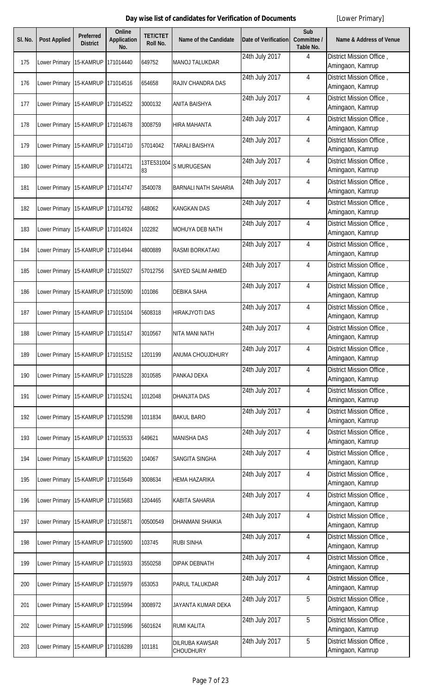| SI. No. | <b>Post Applied</b>               | Preferred<br><b>District</b> | <b>Online</b><br><b>Application</b><br>No. | <b>TET/CTET</b><br>Roll No. | Name of the Candidate                     | <b>Date of Verification</b> | Sub<br>Committee /<br>Table No. | <b>Name &amp; Address of Venue</b>           |
|---------|-----------------------------------|------------------------------|--------------------------------------------|-----------------------------|-------------------------------------------|-----------------------------|---------------------------------|----------------------------------------------|
| 175     | Lower Primary                     | 15-KAMRUP                    | 171014440                                  | 649752                      | <b>MANOJ TALUKDAR</b>                     | 24th July 2017              | 4                               | District Mission Office,<br>Amingaon, Kamrup |
| 176     | Lower Primary 15-KAMRUP           |                              | 171014516                                  | 654658                      | RAJIV CHANDRA DAS                         | 24th July 2017              | 4                               | District Mission Office,<br>Amingaon, Kamrup |
| 177     | Lower Primary 15-KAMRUP           |                              | 171014522                                  | 3000132                     | ANITA BAISHYA                             | 24th July 2017              | 4                               | District Mission Office,<br>Amingaon, Kamrup |
| 178     | Lower Primary 15-KAMRUP           |                              | 171014678                                  | 3008759                     | <b>HIRA MAHANTA</b>                       | 24th July 2017              | $\overline{4}$                  | District Mission Office,<br>Amingaon, Kamrup |
| 179     | Lower Primary 15-KAMRUP           |                              | 171014710                                  | 57014042                    | TARALI BAISHYA                            | 24th July 2017              | 4                               | District Mission Office,<br>Amingaon, Kamrup |
| 180     | Lower Primary                     | 15-KAMRUP                    | 171014721                                  | 13TE531004<br>83            | S MURUGESAN                               | 24th July 2017              | 4                               | District Mission Office,<br>Amingaon, Kamrup |
| 181     | Lower Primary                     | 15-KAMRUP                    | 171014747                                  | 3540078                     | <b>BARNALI NATH SAHARIA</b>               | 24th July 2017              | 4                               | District Mission Office,<br>Amingaon, Kamrup |
| 182     | Lower Primary                     | 15-KAMRUP                    | 171014792                                  | 648062                      | <b>KANGKAN DAS</b>                        | 24th July 2017              | 4                               | District Mission Office,<br>Amingaon, Kamrup |
| 183     | Lower Primary 15-KAMRUP           |                              | 171014924                                  | 102282                      | MOHUYA DEB NATH                           | 24th July 2017              | 4                               | District Mission Office,<br>Amingaon, Kamrup |
| 184     | Lower Primary                     | 15-KAMRUP                    | 171014944                                  | 4800889                     | RASMI BORKATAKI                           | 24th July 2017              | 4                               | District Mission Office,<br>Amingaon, Kamrup |
| 185     | Lower Primary 15-KAMRUP           |                              | 171015027                                  | 57012756                    | SAYED SALIM AHMED                         | 24th July 2017              | $\overline{4}$                  | District Mission Office,<br>Amingaon, Kamrup |
| 186     | Lower Primary 15-KAMRUP           |                              | 171015090                                  | 101086                      | <b>DEBIKA SAHA</b>                        | 24th July 2017              | $\overline{4}$                  | District Mission Office,<br>Amingaon, Kamrup |
| 187     | Lower Primary 15-KAMRUP           |                              | 171015104                                  | 5608318                     | <b>HIRAKJYOTI DAS</b>                     | 24th July 2017              | $\overline{4}$                  | District Mission Office,<br>Amingaon, Kamrup |
| 188     | Lower Primary 15-KAMRUP 171015147 |                              |                                            | 3010567                     | NITA MANI NATH                            | 24th July 2017              | $\overline{4}$                  | District Mission Office,<br>Amingaon, Kamrup |
| 189     | Lower Primary                     | 15-KAMRUP                    | 171015152                                  | 1201199                     | ANUMA CHOUJDHURY                          | 24th July 2017              | 4                               | District Mission Office,<br>Amingaon, Kamrup |
| 190     | Lower Primary 15-KAMRUP 171015228 |                              |                                            | 3010585                     | PANKAJ DEKA                               | 24th July 2017              | 4                               | District Mission Office,<br>Amingaon, Kamrup |
| 191     | Lower Primary 15-KAMRUP           |                              | 171015241                                  | 1012048                     | <b>DHANJITA DAS</b>                       | 24th July 2017              | 4                               | District Mission Office,<br>Amingaon, Kamrup |
| 192     | Lower Primary 15-KAMRUP 171015298 |                              |                                            | 1011834                     | <b>BAKUL BARO</b>                         | 24th July 2017              | 4                               | District Mission Office,<br>Amingaon, Kamrup |
| 193     | Lower Primary 15-KAMRUP           |                              | 171015533                                  | 649621                      | <b>MANISHA DAS</b>                        | 24th July 2017              | 4                               | District Mission Office,<br>Amingaon, Kamrup |
| 194     | Lower Primary 15-KAMRUP           |                              | 171015620                                  | 104067                      | SANGITA SINGHA                            | 24th July 2017              | 4                               | District Mission Office,<br>Amingaon, Kamrup |
| 195     | Lower Primary 15-KAMRUP 171015649 |                              |                                            | 3008634                     | <b>HEMA HAZARIKA</b>                      | 24th July 2017              | $\overline{4}$                  | District Mission Office,<br>Amingaon, Kamrup |
| 196     | Lower Primary 15-KAMRUP 171015683 |                              |                                            | 1204465                     | <b>KABITA SAHARIA</b>                     | 24th July 2017              | $\overline{4}$                  | District Mission Office,<br>Amingaon, Kamrup |
| 197     | Lower Primary 15-KAMRUP           |                              | 171015871                                  | 00500549                    | <b>DHANMANI SHAIKIA</b>                   | 24th July 2017              | $\overline{4}$                  | District Mission Office,<br>Amingaon, Kamrup |
| 198     | Lower Primary 15-KAMRUP           |                              | 171015900                                  | 103745                      | <b>RUBI SINHA</b>                         | 24th July 2017              | 4                               | District Mission Office,<br>Amingaon, Kamrup |
| 199     | Lower Primary 15-KAMRUP           |                              | 171015933                                  | 3550258                     | <b>DIPAK DEBNATH</b>                      | 24th July 2017              | 4                               | District Mission Office,<br>Amingaon, Kamrup |
| 200     | Lower Primary                     | 15-KAMRUP                    | 171015979                                  | 653053                      | PARUL TALUKDAR                            | 24th July 2017              | 4                               | District Mission Office,<br>Amingaon, Kamrup |
| 201     | Lower Primary 15-KAMRUP           |                              | 171015994                                  | 3008972                     | JAYANTA KUMAR DEKA                        | 24th July 2017              | 5                               | District Mission Office,<br>Amingaon, Kamrup |
| 202     | Lower Primary                     | 15-KAMRUP                    | 171015996                                  | 5601624                     | <b>RUMI KALITA</b>                        | 24th July 2017              | 5                               | District Mission Office,<br>Amingaon, Kamrup |
| 203     | Lower Primary 15-KAMRUP 171016289 |                              |                                            | 101181                      | <b>DILRUBA KAWSAR</b><br><b>CHOUDHURY</b> | 24th July 2017              | 5                               | District Mission Office,<br>Amingaon, Kamrup |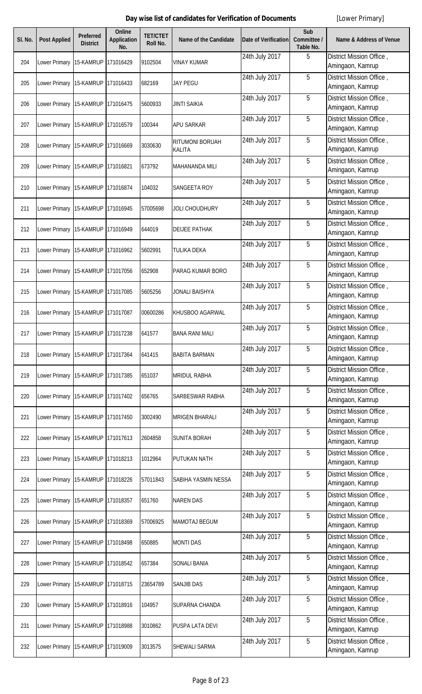| SI. No. | <b>Post Applied</b>               | <b>Preferred</b><br><b>District</b> | <b>Online</b><br><b>Application</b><br>No. | <b>TET/CTET</b><br><b>Roll No.</b> | Name of the Candidate                   | Date of Verification | Sub<br>Committee /<br>Table No. | <b>Name &amp; Address of Venue</b>           |
|---------|-----------------------------------|-------------------------------------|--------------------------------------------|------------------------------------|-----------------------------------------|----------------------|---------------------------------|----------------------------------------------|
| 204     | Lower Primary                     | 15-KAMRUP                           | 171016429                                  | 9102504                            | <b>VINAY KUMAR</b>                      | 24th July 2017       | 5                               | District Mission Office,<br>Amingaon, Kamrup |
| 205     | Lower Primary 15-KAMRUP           |                                     | 171016433                                  | 682169                             | <b>JAY PEGU</b>                         | 24th July 2017       | 5                               | District Mission Office,<br>Amingaon, Kamrup |
| 206     | Lower Primary                     | 15-KAMRUP                           | 171016475                                  | 5600933                            | <b>JINTI SAIKIA</b>                     | 24th July 2017       | 5                               | District Mission Office,<br>Amingaon, Kamrup |
| 207     | Lower Primary 15-KAMRUP           |                                     | 171016579                                  | 100344                             | <b>APU SARKAR</b>                       | 24th July 2017       | 5                               | District Mission Office,<br>Amingaon, Kamrup |
| 208     | Lower Primary                     | 15-KAMRUP                           | 171016669                                  | 3030630                            | <b>RITUMONI BORUAH</b><br><b>KALITA</b> | 24th July 2017       | 5                               | District Mission Office,<br>Amingaon, Kamrup |
| 209     | Lower Primary 15-KAMRUP           |                                     | 171016821                                  | 673792                             | <b>MAHANANDA MILI</b>                   | 24th July 2017       | 5                               | District Mission Office,<br>Amingaon, Kamrup |
| 210     | Lower Primary 15-KAMRUP           |                                     | 171016874                                  | 104032                             | <b>SANGEETA ROY</b>                     | 24th July 2017       | 5                               | District Mission Office,<br>Amingaon, Kamrup |
| 211     | Lower Primary 15-KAMRUP           |                                     | 171016945                                  | 57005698                           | <b>JOLI CHOUDHURY</b>                   | 24th July 2017       | 5                               | District Mission Office,<br>Amingaon, Kamrup |
| 212     | Lower Primary 15-KAMRUP           |                                     | 171016949                                  | 644019                             | <b>DEIJEE PATHAK</b>                    | 24th July 2017       | 5                               | District Mission Office,<br>Amingaon, Kamrup |
| 213     | Lower Primary 15-KAMRUP           |                                     | 171016962                                  | 5602991                            | <b>TULIKA DEKA</b>                      | 24th July 2017       | 5                               | District Mission Office,<br>Amingaon, Kamrup |
| 214     | Lower Primary 15-KAMRUP           |                                     | 171017056                                  | 652908                             | PARAG KUMAR BORO                        | 24th July 2017       | 5                               | District Mission Office,<br>Amingaon, Kamrup |
| 215     | Lower Primary 15-KAMRUP           |                                     | 171017085                                  | 5605256                            | <b>JONALI BAISHYA</b>                   | 24th July 2017       | 5                               | District Mission Office,<br>Amingaon, Kamrup |
| 216     | Lower Primary 15-KAMRUP           |                                     | 171017087                                  | 00600286                           | KHUSBOO AGARWAL                         | 24th July 2017       | 5                               | District Mission Office,<br>Amingaon, Kamrup |
| 217     | Lower Primary 15-KAMRUP 171017238 |                                     |                                            | 641577                             | <b>BANA RANI MALI</b>                   | 24th July 2017       | 5                               | District Mission Office,<br>Amingaon, Kamrup |
| 218     | Lower Primary                     | 15-KAMRUP                           | 171017364                                  | 641415                             | <b>BABITA BARMAN</b>                    | 24th July 2017       | 5                               | District Mission Office,<br>Amingaon, Kamrup |
| 219     | Lower Primary 15-KAMRUP           |                                     | 171017385                                  | 651037                             | <b>MRIDUL RABHA</b>                     | 24th July 2017       | 5                               | District Mission Office,<br>Amingaon, Kamrup |
| 220     | Lower Primary                     | 15-KAMRUP                           | 171017402                                  | 656765                             | <b>SARBESWAR RABHA</b>                  | 24th July 2017       | 5                               | District Mission Office,<br>Amingaon, Kamrup |
| 221     | Lower Primary 15-KAMRUP           |                                     | 171017450                                  | 3002490                            | <b>MRIGEN BHARALI</b>                   | 24th July 2017       | 5                               | District Mission Office,<br>Amingaon, Kamrup |
| 222     | Lower Primary 15-KAMRUP           |                                     | 171017613                                  | 2604858                            | <b>SUNITA BORAH</b>                     | 24th July 2017       | 5                               | District Mission Office,<br>Amingaon, Kamrup |
| 223     | Lower Primary 15-KAMRUP           |                                     | 171018213                                  | 1012964                            | PUTUKAN NATH                            | 24th July 2017       | 5                               | District Mission Office,<br>Amingaon, Kamrup |
| 224     | Lower Primary                     | 15-KAMRUP                           | 171018226                                  | 57011843                           | SABIHA YASMIN NESSA                     | 24th July 2017       | 5                               | District Mission Office,<br>Amingaon, Kamrup |
| 225     | Lower Primary 15-KAMRUP           |                                     | 171018357                                  | 651760                             | <b>NAREN DAS</b>                        | 24th July 2017       | 5                               | District Mission Office,<br>Amingaon, Kamrup |
| 226     | Lower Primary 15-KAMRUP           |                                     | 171018369                                  | 57006925                           | <b>MAMOTAJ BEGUM</b>                    | 24th July 2017       | 5                               | District Mission Office,<br>Amingaon, Kamrup |
| 227     | Lower Primary 15-KAMRUP           |                                     | 171018498                                  | 650885                             | <b>MONTI DAS</b>                        | 24th July 2017       | 5                               | District Mission Office,<br>Amingaon, Kamrup |
| 228     | Lower Primary 15-KAMRUP           |                                     | 171018542                                  | 657384                             | <b>SONALI BANIA</b>                     | 24th July 2017       | 5                               | District Mission Office,<br>Amingaon, Kamrup |
| 229     | Lower Primary 15-KAMRUP           |                                     | 171018715                                  | 23654789                           | <b>SANJIB DAS</b>                       | 24th July 2017       | 5                               | District Mission Office,<br>Amingaon, Kamrup |
| 230     | Lower Primary 15-KAMRUP           |                                     | 171018916                                  | 104957                             | SUPARNA CHANDA                          | 24th July 2017       | 5                               | District Mission Office,<br>Amingaon, Kamrup |
| 231     | Lower Primary 15-KAMRUP           |                                     | 171018988                                  | 3010862                            | PUSPA LATA DEVI                         | 24th July 2017       | 5                               | District Mission Office,<br>Amingaon, Kamrup |
| 232     | Lower Primary 15-KAMRUP 171019009 |                                     |                                            | 3013575                            | SHEWALI SARMA                           | 24th July 2017       | 5                               | District Mission Office,<br>Amingaon, Kamrup |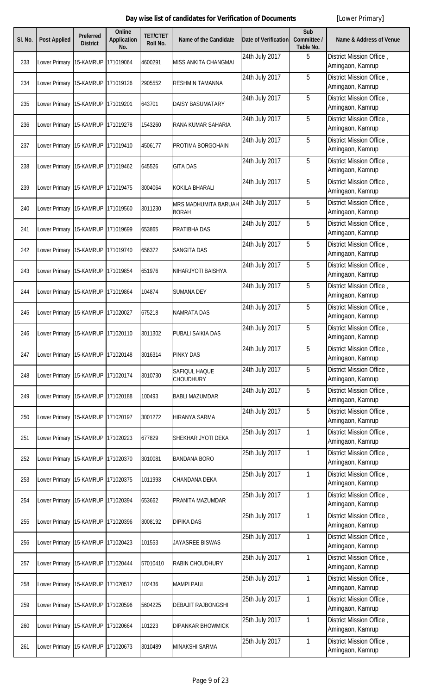| SI. No. | <b>Post Applied</b>               | Preferred<br><b>District</b> | <b>Online</b><br><b>Application</b><br>No. | <b>TET/CTET</b><br>Roll No. | Name of the Candidate                | <b>Date of Verification</b> | Sub<br>Committee /<br>Table No. | <b>Name &amp; Address of Venue</b>           |
|---------|-----------------------------------|------------------------------|--------------------------------------------|-----------------------------|--------------------------------------|-----------------------------|---------------------------------|----------------------------------------------|
| 233     | Lower Primary                     | 15-KAMRUP                    | 171019064                                  | 4600291                     | <b>MISS ANKITA CHANGMAI</b>          | 24th July 2017              | 5                               | District Mission Office,<br>Amingaon, Kamrup |
| 234     | Lower Primary 15-KAMRUP           |                              | 171019126                                  | 2905552                     | <b>RESHMIN TAMANNA</b>               | 24th July 2017              | 5                               | District Mission Office,<br>Amingaon, Kamrup |
| 235     | Lower Primary 15-KAMRUP           |                              | 171019201                                  | 643701                      | <b>DAISY BASUMATARY</b>              | 24th July 2017              | 5                               | District Mission Office,<br>Amingaon, Kamrup |
| 236     | Lower Primary 15-KAMRUP           |                              | 171019278                                  | 1543260                     | RANA KUMAR SAHARIA                   | 24th July 2017              | 5                               | District Mission Office,<br>Amingaon, Kamrup |
| 237     | Lower Primary 15-KAMRUP           |                              | 171019410                                  | 4506177                     | PROTIMA BORGOHAIN                    | 24th July 2017              | 5                               | District Mission Office,<br>Amingaon, Kamrup |
| 238     | Lower Primary                     | 15-KAMRUP                    | 171019462                                  | 645526                      | <b>GITA DAS</b>                      | 24th July 2017              | 5                               | District Mission Office,<br>Amingaon, Kamrup |
| 239     | Lower Primary 15-KAMRUP           |                              | 171019475                                  | 3004064                     | <b>KOKILA BHARALI</b>                | 24th July 2017              | 5                               | District Mission Office,<br>Amingaon, Kamrup |
| 240     | Lower Primary                     | 15-KAMRUP                    | 171019560                                  | 3011230                     | MRS MADHUMITA BARUAH<br><b>BORAH</b> | 24th July 2017              | 5                               | District Mission Office,<br>Amingaon, Kamrup |
| 241     | Lower Primary 15-KAMRUP           |                              | 171019699                                  | 653865                      | PRATIBHA DAS                         | 24th July 2017              | 5                               | District Mission Office,<br>Amingaon, Kamrup |
| 242     | Lower Primary                     | 15-KAMRUP                    | 171019740                                  | 656372                      | <b>SANGITA DAS</b>                   | 24th July 2017              | 5                               | District Mission Office,<br>Amingaon, Kamrup |
| 243     | Lower Primary 15-KAMRUP           |                              | 171019854                                  | 651976                      | NIHARJYOTI BAISHYA                   | 24th July 2017              | 5                               | District Mission Office,<br>Amingaon, Kamrup |
| 244     | Lower Primary 15-KAMRUP           |                              | 171019864                                  | 104874                      | <b>SUMANA DEY</b>                    | 24th July 2017              | 5                               | District Mission Office,<br>Amingaon, Kamrup |
| 245     | Lower Primary 15-KAMRUP           |                              | 171020027                                  | 675218                      | <b>NAMRATA DAS</b>                   | 24th July 2017              | 5                               | District Mission Office,<br>Amingaon, Kamrup |
| 246     | Lower Primary 15-KAMRUP 171020110 |                              |                                            | 3011302                     | PUBALI SAIKIA DAS                    | 24th July 2017              | 5                               | District Mission Office,<br>Amingaon, Kamrup |
| 247     | Lower Primary                     | 15-KAMRUP                    | 171020148                                  | 3016314                     | <b>PINKY DAS</b>                     | 24th July 2017              | 5                               | District Mission Office,<br>Amingaon, Kamrup |
| 248     | Lower Primary 15-KAMRUP 171020174 |                              |                                            | 3010730                     | SAFIQUL HAQUE<br><b>CHOUDHURY</b>    | 24th July 2017              | 5                               | District Mission Office,<br>Amingaon, Kamrup |
| 249     | Lower Primary 15-KAMRUP           |                              | 171020188                                  | 100493                      | <b>BABLI MAZUMDAR</b>                | 24th July 2017              | 5                               | District Mission Office,<br>Amingaon, Kamrup |
| 250     | Lower Primary 15-KAMRUP           |                              | 171020197                                  | 3001272                     | <b>HIRANYA SARMA</b>                 | 24th July 2017              | 5                               | District Mission Office,<br>Amingaon, Kamrup |
| 251     | Lower Primary 15-KAMRUP           |                              | 171020223                                  | 677829                      | SHEKHAR JYOTI DEKA                   | 25th July 2017              | 1                               | District Mission Office,<br>Amingaon, Kamrup |
| 252     | Lower Primary 15-KAMRUP           |                              | 171020370                                  | 3010081                     | <b>BANDANA BORO</b>                  | 25th July 2017              | 1                               | District Mission Office,<br>Amingaon, Kamrup |
| 253     | Lower Primary 15-KAMRUP 171020375 |                              |                                            | 1011993                     | CHANDANA DEKA                        | 25th July 2017              | 1                               | District Mission Office,<br>Amingaon, Kamrup |
| 254     | Lower Primary 15-KAMRUP 171020394 |                              |                                            | 653662                      | PRANITA MAZUMDAR                     | 25th July 2017              | 1                               | District Mission Office,<br>Amingaon, Kamrup |
| 255     | Lower Primary 15-KAMRUP           |                              | 171020396                                  | 3008192                     | <b>DIPIKA DAS</b>                    | 25th July 2017              | $\mathbf{1}$                    | District Mission Office,<br>Amingaon, Kamrup |
| 256     | Lower Primary 15-KAMRUP           |                              | 171020423                                  | 101553                      | JAYASREE BISWAS                      | 25th July 2017              | $\mathbf{1}$                    | District Mission Office,<br>Amingaon, Kamrup |
| 257     | Lower Primary 15-KAMRUP           |                              | 171020444                                  | 57010410                    | RABIN CHOUDHURY                      | 25th July 2017              | $\mathbf{1}$                    | District Mission Office,<br>Amingaon, Kamrup |
| 258     | Lower Primary                     | 15-KAMRUP                    | 171020512                                  | 102436                      | <b>MAMPI PAUL</b>                    | 25th July 2017              | $\mathbf{1}$                    | District Mission Office,<br>Amingaon, Kamrup |
| 259     | Lower Primary 15-KAMRUP           |                              | 171020596                                  | 5604225                     | <b>DEBAJIT RAJBONGSHI</b>            | 25th July 2017              | $\mathbf{1}$                    | District Mission Office,<br>Amingaon, Kamrup |
| 260     | Lower Primary                     | 15-KAMRUP                    | 171020664                                  | 101223                      | <b>DIPANKAR BHOWMICK</b>             | 25th July 2017              | $\mathbf{1}$                    | District Mission Office,<br>Amingaon, Kamrup |
| 261     | Lower Primary 15-KAMRUP 171020673 |                              |                                            | 3010489                     | <b>MINAKSHI SARMA</b>                | 25th July 2017              | 1                               | District Mission Office,<br>Amingaon, Kamrup |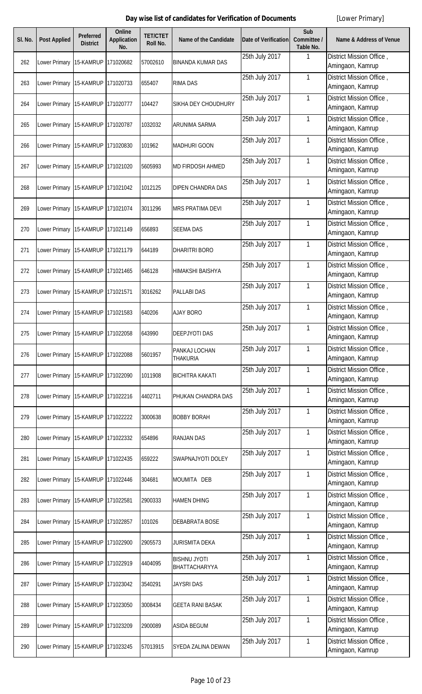| SI. No. | <b>Post Applied</b>               | Preferred<br><b>District</b> | <b>Online</b><br><b>Application</b><br>No. | <b>TET/CTET</b><br>Roll No. | Name of the Candidate                | <b>Date of Verification</b> | Sub<br>Committee /<br>Table No. | <b>Name &amp; Address of Venue</b>           |
|---------|-----------------------------------|------------------------------|--------------------------------------------|-----------------------------|--------------------------------------|-----------------------------|---------------------------------|----------------------------------------------|
| 262     | Lower Primary                     | 15-KAMRUP                    | 171020682                                  | 57002610                    | <b>BINANDA KUMAR DAS</b>             | 25th July 2017              | 1                               | District Mission Office,<br>Amingaon, Kamrup |
| 263     | Lower Primary 15-KAMRUP           |                              | 171020733                                  | 655407                      | <b>RIMA DAS</b>                      | 25th July 2017              | 1                               | District Mission Office,<br>Amingaon, Kamrup |
| 264     | Lower Primary 15-KAMRUP           |                              | 171020777                                  | 104427                      | SIKHA DEY CHOUDHURY                  | 25th July 2017              | 1                               | District Mission Office,<br>Amingaon, Kamrup |
| 265     | Lower Primary 15-KAMRUP           |                              | 171020787                                  | 1032032                     | <b>ARUNIMA SARMA</b>                 | 25th July 2017              | $\mathbf{1}$                    | District Mission Office,<br>Amingaon, Kamrup |
| 266     | Lower Primary 15-KAMRUP           |                              | 171020830                                  | 101962                      | <b>MADHURI GOON</b>                  | 25th July 2017              | $\mathbf{1}$                    | District Mission Office,<br>Amingaon, Kamrup |
| 267     | Lower Primary                     | 15-KAMRUP                    | 171021020                                  | 5605993                     | MD FIRDOSH AHMED                     | 25th July 2017              | 1                               | District Mission Office,<br>Amingaon, Kamrup |
| 268     | Lower Primary                     | 15-KAMRUP                    | 171021042                                  | 1012125                     | DIPEN CHANDRA DAS                    | 25th July 2017              | 1                               | District Mission Office,<br>Amingaon, Kamrup |
| 269     | Lower Primary                     | 15-KAMRUP                    | 171021074                                  | 3011296                     | <b>MRS PRATIMA DEVI</b>              | 25th July 2017              | $\mathbf{1}$                    | District Mission Office,<br>Amingaon, Kamrup |
| 270     | Lower Primary 15-KAMRUP           |                              | 171021149                                  | 656893                      | <b>SEEMA DAS</b>                     | 25th July 2017              | $\mathbf{1}$                    | District Mission Office,<br>Amingaon, Kamrup |
| 271     | Lower Primary                     | 15-KAMRUP                    | 171021179                                  | 644189                      | <b>DHARITRI BORO</b>                 | 25th July 2017              | 1                               | District Mission Office,<br>Amingaon, Kamrup |
| 272     | Lower Primary 15-KAMRUP           |                              | 171021465                                  | 646128                      | HIMAKSHI BAISHYA                     | 25th July 2017              | 1                               | District Mission Office,<br>Amingaon, Kamrup |
| 273     | Lower Primary 15-KAMRUP           |                              | 171021571                                  | 3016262                     | <b>PALLABI DAS</b>                   | 25th July 2017              | 1                               | District Mission Office,<br>Amingaon, Kamrup |
| 274     | Lower Primary 15-KAMRUP           |                              | 171021583                                  | 640206                      | <b>AJAY BORO</b>                     | 25th July 2017              | $\mathbf{1}$                    | District Mission Office,<br>Amingaon, Kamrup |
| 275     | Lower Primary 15-KAMRUP 171022058 |                              |                                            | 643990                      | DEEP IYOTI DAS                       | 25th July 2017              | $\mathbf{1}$                    | District Mission Office,<br>Amingaon, Kamrup |
| 276     | Lower Primary                     | 15-KAMRUP                    | 171022088                                  | 5601957                     | PANKAJ LOCHAN<br><b>THAKURIA</b>     | 25th July 2017              | 1                               | District Mission Office,<br>Amingaon, Kamrup |
| 277     | Lower Primary 15-KAMRUP 171022090 |                              |                                            | 1011908                     | <b>BICHITRA KAKATI</b>               | 25th July 2017              | 1                               | District Mission Office,<br>Amingaon, Kamrup |
| 278     | Lower Primary 15-KAMRUP           |                              | 171022216                                  | 4402711                     | PHUKAN CHANDRA DAS                   | 25th July 2017              | 1                               | District Mission Office,<br>Amingaon, Kamrup |
| 279     | Lower Primary 15-KAMRUP           |                              | 171022222                                  | 3000638                     | <b>BOBBY BORAH</b>                   | 25th July 2017              | 1                               | District Mission Office,<br>Amingaon, Kamrup |
| 280     | Lower Primary 15-KAMRUP           |                              | 171022332                                  | 654896                      | <b>RANJAN DAS</b>                    | 25th July 2017              | 1                               | District Mission Office,<br>Amingaon, Kamrup |
| 281     | Lower Primary 15-KAMRUP           |                              | 171022435                                  | 659222                      | SWAPNAJYOTI DOLEY                    | 25th July 2017              | 1                               | District Mission Office,<br>Amingaon, Kamrup |
| 282     | Lower Primary 15-KAMRUP 171022446 |                              |                                            | 304681                      | MOUMITA DEB                          | 25th July 2017              | 1                               | District Mission Office,<br>Amingaon, Kamrup |
| 283     | Lower Primary 15-KAMRUP           |                              | 171022581                                  | 2900333                     | <b>HAMEN DHING</b>                   | 25th July 2017              | 1                               | District Mission Office,<br>Amingaon, Kamrup |
| 284     | Lower Primary 15-KAMRUP           |                              | 171022857                                  | 101026                      | DEBABRATA BOSE                       | 25th July 2017              | $\mathbf{1}$                    | District Mission Office,<br>Amingaon, Kamrup |
| 285     | Lower Primary 15-KAMRUP           |                              | 171022900                                  | 2905573                     | <b>JURISMITA DEKA</b>                | 25th July 2017              | $\mathbf{1}$                    | District Mission Office,<br>Amingaon, Kamrup |
| 286     | Lower Primary 15-KAMRUP           |                              | 171022919                                  | 4404095                     | <b>BISHNU JYOTI</b><br>BHATTACHARYYA | 25th July 2017              | $\mathbf{1}$                    | District Mission Office,<br>Amingaon, Kamrup |
| 287     | Lower Primary                     | 15-KAMRUP                    | 171023042                                  | 3540291                     | <b>JAYSRI DAS</b>                    | 25th July 2017              | $\mathbf{1}$                    | District Mission Office,<br>Amingaon, Kamrup |
| 288     | Lower Primary 15-KAMRUP           |                              | 171023050                                  | 3008434                     | <b>GEETA RANI BASAK</b>              | 25th July 2017              | $\mathbf{1}$                    | District Mission Office,<br>Amingaon, Kamrup |
| 289     | Lower Primary                     | 15-KAMRUP                    | 171023209                                  | 2900089                     | <b>ASIDA BEGUM</b>                   | 25th July 2017              | $\mathbf{1}$                    | District Mission Office,<br>Amingaon, Kamrup |
| 290     | Lower Primary 15-KAMRUP 171023245 |                              |                                            | 57013915                    | SYEDA ZALINA DEWAN                   | 25th July 2017              | 1                               | District Mission Office,<br>Amingaon, Kamrup |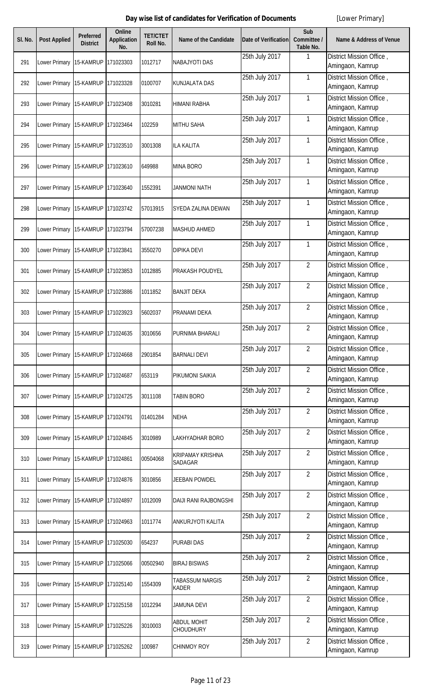| SI. No. | <b>Post Applied</b>               | <b>Preferred</b><br><b>District</b> | <b>Online</b><br><b>Application</b><br>No. | <b>TET/CTET</b><br><b>Roll No.</b> | Name of the Candidate                     | <b>Date of Verification</b> | Sub<br>Committee /<br>Table No. | <b>Name &amp; Address of Venue</b>           |
|---------|-----------------------------------|-------------------------------------|--------------------------------------------|------------------------------------|-------------------------------------------|-----------------------------|---------------------------------|----------------------------------------------|
| 291     | Lower Primary                     | 15-KAMRUP                           | 171023303                                  | 1012717                            | <b>NABAJYOTI DAS</b>                      | 25th July 2017              | $\mathbf{1}$                    | District Mission Office,<br>Amingaon, Kamrup |
| 292     | Lower Primary 15-KAMRUP           |                                     | 171023328                                  | 0100707                            | <b>KUNJALATA DAS</b>                      | 25th July 2017              | $\mathbf{1}$                    | District Mission Office,<br>Amingaon, Kamrup |
| 293     | Lower Primary                     | 15-KAMRUP                           | 171023408                                  | 3010281                            | HIMANI RABHA                              | 25th July 2017              | $\mathbf{1}$                    | District Mission Office,<br>Amingaon, Kamrup |
| 294     | Lower Primary 15-KAMRUP           |                                     | 171023464                                  | 102259                             | <b>MITHU SAHA</b>                         | 25th July 2017              | $\mathbf{1}$                    | District Mission Office,<br>Amingaon, Kamrup |
| 295     | Lower Primary                     | 15-KAMRUP                           | 171023510                                  | 3001308                            | <b>ILA KALITA</b>                         | 25th July 2017              | 1                               | District Mission Office,<br>Amingaon, Kamrup |
| 296     | Lower Primary 15-KAMRUP           |                                     | 171023610                                  | 649988                             | <b>MINA BORO</b>                          | 25th July 2017              | 1                               | District Mission Office,<br>Amingaon, Kamrup |
| 297     | Lower Primary 15-KAMRUP           |                                     | 171023640                                  | 1552391                            | <b>JANMONI NATH</b>                       | 25th July 2017              | $\mathbf{1}$                    | District Mission Office,<br>Amingaon, Kamrup |
| 298     | Lower Primary 15-KAMRUP           |                                     | 171023742                                  | 57013915                           | <b>SYEDA ZALINA DEWAN</b>                 | 25th July 2017              | $\mathbf{1}$                    | District Mission Office,<br>Amingaon, Kamrup |
| 299     | Lower Primary 15-KAMRUP           |                                     | 171023794                                  | 57007238                           | <b>MASHUD AHMED</b>                       | 25th July 2017              | $\mathbf{1}$                    | District Mission Office,<br>Amingaon, Kamrup |
| 300     | Lower Primary 15-KAMRUP           |                                     | 171023841                                  | 3550270                            | <b>DIPIKA DEVI</b>                        | 25th July 2017              | $\mathbf{1}$                    | District Mission Office,<br>Amingaon, Kamrup |
| 301     | Lower Primary 15-KAMRUP           |                                     | 171023853                                  | 1012885                            | <b>PRAKASH POUDYEL</b>                    | 25th July 2017              | $\overline{2}$                  | District Mission Office,<br>Amingaon, Kamrup |
| 302     | Lower Primary 15-KAMRUP           |                                     | 171023886                                  | 1011852                            | <b>BANJIT DEKA</b>                        | 25th July 2017              | $\overline{2}$                  | District Mission Office,<br>Amingaon, Kamrup |
| 303     | Lower Primary 15-KAMRUP           |                                     | 171023923                                  | 5602037                            | PRANAMI DEKA                              | 25th July 2017              | $\overline{2}$                  | District Mission Office,<br>Amingaon, Kamrup |
| 304     | Lower Primary 15-KAMRUP 171024635 |                                     |                                            | 3010656                            | PURNIMA BHARALI                           | 25th July 2017              | $\overline{2}$                  | District Mission Office,<br>Amingaon, Kamrup |
| 305     | Lower Primary                     | 15-KAMRUP                           | 171024668                                  | 2901854                            | <b>BARNALI DEVI</b>                       | 25th July 2017              | $\overline{2}$                  | District Mission Office,<br>Amingaon, Kamrup |
| 306     | Lower Primary 15-KAMRUP           |                                     | 171024687                                  | 653119                             | PIKUMONI SAIKIA                           | 25th July 2017              | $\overline{2}$                  | District Mission Office,<br>Amingaon, Kamrup |
| 307     | Lower Primary                     | 15-KAMRUP                           | 171024725                                  | 3011108                            | <b>TABIN BORO</b>                         | 25th July 2017              | $\overline{2}$                  | District Mission Office,<br>Amingaon, Kamrup |
| 308     | Lower Primary 15-KAMRUP           |                                     | 171024791                                  | 01401284                           | <b>NEHA</b>                               | 25th July 2017              | $\overline{2}$                  | District Mission Office,<br>Amingaon, Kamrup |
| 309     | Lower Primary 15-KAMRUP           |                                     | 171024845                                  | 3010989                            | <b>LAKHYADHAR BORO</b>                    | 25th July 2017              | $\overline{2}$                  | District Mission Office,<br>Amingaon, Kamrup |
| 310     | Lower Primary 15-KAMRUP           |                                     | 171024861                                  | 00504068                           | <b>KRIPAMAY KRISHNA</b><br><b>SADAGAR</b> | 25th July 2017              | $\overline{2}$                  | District Mission Office,<br>Amingaon, Kamrup |
| 311     | Lower Primary                     | 15-KAMRUP                           | 171024876                                  | 3010856                            | <b>JEEBAN POWDEL</b>                      | 25th July 2017              | $\overline{2}$                  | District Mission Office,<br>Amingaon, Kamrup |
| 312     | Lower Primary 15-KAMRUP           |                                     | 171024897                                  | 1012009                            | <b>DAIJI RANI RAJBONGSHI</b>              | 25th July 2017              | $\overline{2}$                  | District Mission Office,<br>Amingaon, Kamrup |
| 313     | Lower Primary 15-KAMRUP           |                                     | 171024963                                  | 1011774                            | ANKURJYOTI KALITA                         | 25th July 2017              | $\overline{2}$                  | District Mission Office,<br>Amingaon, Kamrup |
| 314     | Lower Primary 15-KAMRUP           |                                     | 171025030                                  | 654237                             | <b>PURABI DAS</b>                         | 25th July 2017              | $\overline{2}$                  | District Mission Office,<br>Amingaon, Kamrup |
| 315     | Lower Primary 15-KAMRUP           |                                     | 171025066                                  | 00502940                           | <b>BIRAJ BISWAS</b>                       | 25th July 2017              | $\overline{2}$                  | District Mission Office,<br>Amingaon, Kamrup |
| 316     | Lower Primary 15-KAMRUP           |                                     | 171025140                                  | 1554309                            | <b>TABASSUM NARGIS</b><br><b>KADER</b>    | 25th July 2017              | $\overline{2}$                  | District Mission Office,<br>Amingaon, Kamrup |
| 317     | Lower Primary 15-KAMRUP           |                                     | 171025158                                  | 1012294                            | <b>JAMUNA DEVI</b>                        | 25th July 2017              | $\overline{2}$                  | District Mission Office,<br>Amingaon, Kamrup |
| 318     | Lower Primary 15-KAMRUP           |                                     | 171025226                                  | 3010003                            | <b>ABDUL MOHIT</b><br><b>CHOUDHURY</b>    | 25th July 2017              | $\overline{2}$                  | District Mission Office,<br>Amingaon, Kamrup |
| 319     | Lower Primary 15-KAMRUP 171025262 |                                     |                                            | 100987                             | <b>CHINMOY ROY</b>                        | 25th July 2017              | $\overline{2}$                  | District Mission Office,<br>Amingaon, Kamrup |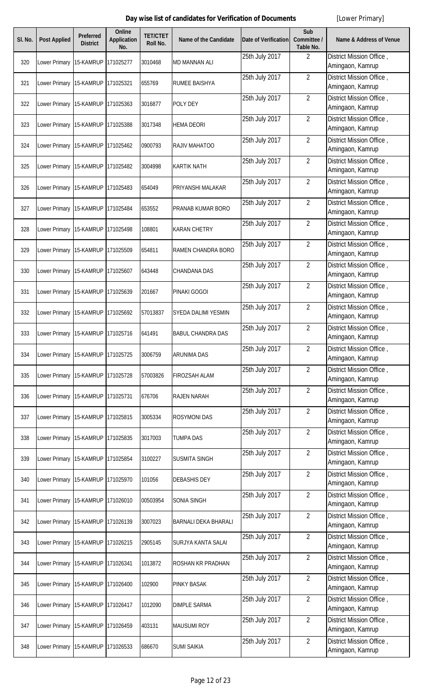| SI. No. | <b>Post Applied</b>               | <b>Preferred</b><br><b>District</b> | <b>Online</b><br><b>Application</b><br>No. | <b>TET/CTET</b><br><b>Roll No.</b> | Name of the Candidate       | <b>Date of Verification</b> | Sub<br>Committee /<br>Table No. | <b>Name &amp; Address of Venue</b>           |
|---------|-----------------------------------|-------------------------------------|--------------------------------------------|------------------------------------|-----------------------------|-----------------------------|---------------------------------|----------------------------------------------|
| 320     | Lower Primary                     | 15-KAMRUP                           | 171025277                                  | 3010468                            | <b>MD MANNAN ALI</b>        | 25th July 2017              | $\overline{2}$                  | District Mission Office,<br>Amingaon, Kamrup |
| 321     | Lower Primary 15-KAMRUP           |                                     | 171025321                                  | 655769                             | <b>RUMEE BAISHYA</b>        | 25th July 2017              | $\overline{2}$                  | District Mission Office,<br>Amingaon, Kamrup |
| 322     | Lower Primary                     | 15-KAMRUP                           | 171025363                                  | 3016877                            | POLY DEY                    | 25th July 2017              | $\overline{2}$                  | District Mission Office,<br>Amingaon, Kamrup |
| 323     | Lower Primary 15-KAMRUP           |                                     | 171025388                                  | 3017348                            | <b>HEMA DEORI</b>           | 25th July 2017              | $\overline{2}$                  | District Mission Office,<br>Amingaon, Kamrup |
| 324     | Lower Primary                     | 15-KAMRUP                           | 171025462                                  | 0900793                            | RAJIV MAHATOO               | 25th July 2017              | $\overline{2}$                  | District Mission Office,<br>Amingaon, Kamrup |
| 325     | Lower Primary 15-KAMRUP           |                                     | 171025482                                  | 3004998                            | <b>KARTIK NATH</b>          | 25th July 2017              | $\overline{2}$                  | District Mission Office,<br>Amingaon, Kamrup |
| 326     | Lower Primary 15-KAMRUP           |                                     | 171025483                                  | 654049                             | PRIYANSHI MALAKAR           | 25th July 2017              | $\overline{2}$                  | District Mission Office,<br>Amingaon, Kamrup |
| 327     | Lower Primary 15-KAMRUP           |                                     | 171025484                                  | 653552                             | PRANAB KUMAR BORO           | 25th July 2017              | $\overline{2}$                  | District Mission Office,<br>Amingaon, Kamrup |
| 328     | Lower Primary 15-KAMRUP           |                                     | 171025498                                  | 108801                             | <b>KARAN CHETRY</b>         | 25th July 2017              | $\overline{2}$                  | District Mission Office,<br>Amingaon, Kamrup |
| 329     | Lower Primary 15-KAMRUP           |                                     | 171025509                                  | 654811                             | <b>RAMEN CHANDRA BORO</b>   | 25th July 2017              | $\overline{2}$                  | District Mission Office,<br>Amingaon, Kamrup |
| 330     | Lower Primary 15-KAMRUP           |                                     | 171025607                                  | 643448                             | <b>CHANDANA DAS</b>         | 25th July 2017              | $\overline{2}$                  | District Mission Office,<br>Amingaon, Kamrup |
| 331     | Lower Primary                     | 15-KAMRUP                           | 171025639                                  | 201667                             | PINAKI GOGOI                | 25th July 2017              | $\overline{2}$                  | District Mission Office,<br>Amingaon, Kamrup |
| 332     | Lower Primary 15-KAMRUP           |                                     | 171025692                                  | 57013837                           | SYEDA DALIMI YESMIN         | 25th July 2017              | $\overline{2}$                  | District Mission Office,<br>Amingaon, Kamrup |
| 333     | Lower Primary 15-KAMRUP 171025716 |                                     |                                            | 641491                             | <b>BABUL CHANDRA DAS</b>    | 25th July 2017              | $\overline{2}$                  | District Mission Office,<br>Amingaon, Kamrup |
| 334     | Lower Primary                     | 15-KAMRUP                           | 171025725                                  | 3006759                            | <b>ARUNIMA DAS</b>          | 25th July 2017              | $\overline{2}$                  | District Mission Office,<br>Amingaon, Kamrup |
| 335     | Lower Primary 15-KAMRUP           |                                     | 171025728                                  | 57003826                           | <b>FIROZSAH ALAM</b>        | 25th July 2017              | $\overline{2}$                  | District Mission Office,<br>Amingaon, Kamrup |
| 336     | Lower Primary                     | 15-KAMRUP                           | 171025731                                  | 676706                             | <b>RAJEN NARAH</b>          | 25th July 2017              | $\overline{2}$                  | District Mission Office,<br>Amingaon, Kamrup |
| 337     | Lower Primary 15-KAMRUP           |                                     | 171025815                                  | 3005334                            | <b>ROSYMONI DAS</b>         | 25th July 2017              | $\overline{2}$                  | District Mission Office,<br>Amingaon, Kamrup |
| 338     | Lower Primary                     | 15-KAMRUP                           | 171025835                                  | 3017003                            | <b>TUMPA DAS</b>            | 25th July 2017              | $\overline{2}$                  | District Mission Office,<br>Amingaon, Kamrup |
| 339     | Lower Primary 15-KAMRUP           |                                     | 171025854                                  | 3100227                            | <b>SUSMITA SINGH</b>        | 25th July 2017              | $\overline{2}$                  | District Mission Office,<br>Amingaon, Kamrup |
| 340     | Lower Primary                     | 15-KAMRUP                           | 171025970                                  | 101056                             | <b>DEBASHIS DEY</b>         | 25th July 2017              | $\overline{2}$                  | District Mission Office,<br>Amingaon, Kamrup |
| 341     | Lower Primary 15-KAMRUP           |                                     | 171026010                                  | 00503954                           | <b>SONIA SINGH</b>          | 25th July 2017              | $\overline{2}$                  | District Mission Office,<br>Amingaon, Kamrup |
| 342     | Lower Primary 15-KAMRUP           |                                     | 171026139                                  | 3007023                            | <b>BARNALI DEKA BHARALI</b> | 25th July 2017              | $\overline{2}$                  | District Mission Office,<br>Amingaon, Kamrup |
| 343     | Lower Primary 15-KAMRUP           |                                     | 171026215                                  | 2905145                            | <b>SURJYA KANTA SALAI</b>   | 25th July 2017              | $\overline{2}$                  | District Mission Office,<br>Amingaon, Kamrup |
| 344     | Lower Primary 15-KAMRUP           |                                     | 171026341                                  | 1013872                            | <b>ROSHAN KR PRADHAN</b>    | 25th July 2017              | $\overline{2}$                  | District Mission Office,<br>Amingaon, Kamrup |
| 345     | Lower Primary 15-KAMRUP           |                                     | 171026400                                  | 102900                             | <b>PINKY BASAK</b>          | 25th July 2017              | $\overline{2}$                  | District Mission Office,<br>Amingaon, Kamrup |
| 346     | Lower Primary 15-KAMRUP           |                                     | 171026417                                  | 1012090                            | <b>DIMPLE SARMA</b>         | 25th July 2017              | $\overline{2}$                  | District Mission Office,<br>Amingaon, Kamrup |
| 347     | Lower Primary 15-KAMRUP           |                                     | 171026459                                  | 403131                             | <b>MAUSUMI ROY</b>          | 25th July 2017              | $\overline{2}$                  | District Mission Office,<br>Amingaon, Kamrup |
| 348     | Lower Primary 15-KAMRUP 171026533 |                                     |                                            | 686670                             | <b>SUMI SAIKIA</b>          | 25th July 2017              | $\overline{2}$                  | District Mission Office,<br>Amingaon, Kamrup |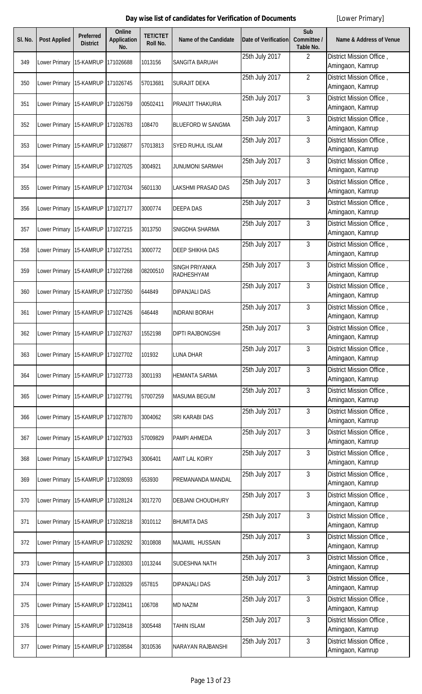| SI. No. | <b>Post Applied</b>                   | Preferred<br><b>District</b> | <b>Online</b><br><b>Application</b><br>No. | <b>TET/CTET</b><br>Roll No. | Name of the Candidate        | <b>Date of Verification</b> | Sub<br>Committee /<br>Table No. | <b>Name &amp; Address of Venue</b>           |
|---------|---------------------------------------|------------------------------|--------------------------------------------|-----------------------------|------------------------------|-----------------------------|---------------------------------|----------------------------------------------|
| 349     | Lower Primary                         | 15-KAMRUP                    | 171026688                                  | 1013156                     | SANGITA BARUAH               | 25th July 2017              | $\overline{2}$                  | District Mission Office,<br>Amingaon, Kamrup |
| 350     | Lower Primary 15-KAMRUP               |                              | 171026745                                  | 57013681                    | <b>SURAJIT DEKA</b>          | 25th July 2017              | $\overline{2}$                  | District Mission Office,<br>Amingaon, Kamrup |
| 351     | Lower Primary 15-KAMRUP               |                              | 171026759                                  | 00502411                    | PRANJIT THAKURIA             | 25th July 2017              | 3                               | District Mission Office,<br>Amingaon, Kamrup |
| 352     | Lower Primary 15-KAMRUP               |                              | 171026783                                  | 108470                      | <b>BLUEFORD W SANGMA</b>     | 25th July 2017              | 3                               | District Mission Office,<br>Amingaon, Kamrup |
| 353     | Lower Primary 15-KAMRUP               |                              | 171026877                                  | 57013813                    | SYED RUHUL ISLAM             | 25th July 2017              | 3                               | District Mission Office,<br>Amingaon, Kamrup |
| 354     | Lower Primary                         | 15-KAMRUP                    | 171027025                                  | 3004921                     | <b>JUNUMONI SARMAH</b>       | 25th July 2017              | 3                               | District Mission Office,<br>Amingaon, Kamrup |
| 355     | Lower Primary 15-KAMRUP               |                              | 171027034                                  | 5601130                     | LAKSHMI PRASAD DAS           | 25th July 2017              | 3                               | District Mission Office,<br>Amingaon, Kamrup |
| 356     | Lower Primary                         | 15-KAMRUP                    | 171027177                                  | 3000774                     | <b>DEEPA DAS</b>             | 25th July 2017              | 3                               | District Mission Office,<br>Amingaon, Kamrup |
| 357     | Lower Primary 15-KAMRUP               |                              | 171027215                                  | 3013750                     | SNIGDHA SHARMA               | 25th July 2017              | 3                               | District Mission Office,<br>Amingaon, Kamrup |
| 358     | Lower Primary                         | 15-KAMRUP                    | 171027251                                  | 3000772                     | <b>DEEP SHIKHA DAS</b>       | 25th July 2017              | 3                               | District Mission Office,<br>Amingaon, Kamrup |
| 359     | Lower Primary 15-KAMRUP               |                              | 171027268                                  | 08200510                    | SINGH PRIYANKA<br>RADHESHYAM | 25th July 2017              | 3                               | District Mission Office,<br>Amingaon, Kamrup |
| 360     | Lower Primary 15-KAMRUP               |                              | 171027350                                  | 644849                      | <b>DIPANJALI DAS</b>         | 25th July 2017              | 3                               | District Mission Office,<br>Amingaon, Kamrup |
| 361     | Lower Primary 15-KAMRUP               |                              | 171027426                                  | 646448                      | <b>INDRANI BORAH</b>         | 25th July 2017              | 3                               | District Mission Office,<br>Amingaon, Kamrup |
| 362     | Lower Primary 15-KAMRUP 171027637     |                              |                                            | 1552198                     | <b>DIPTI RAJBONGSHI</b>      | 25th July 2017              | 3                               | District Mission Office,<br>Amingaon, Kamrup |
| 363     | Lower Primary                         | 15-KAMRUP                    | 171027702                                  | 101932                      | <b>LUNA DHAR</b>             | 25th July 2017              | 3                               | District Mission Office,<br>Amingaon, Kamrup |
| 364     | Lower Primary 15-KAMRUP 171027733     |                              |                                            | 3001193                     | <b>HEMANTA SARMA</b>         | 25th July 2017              | 3                               | District Mission Office,<br>Amingaon, Kamrup |
| 365     | Lower Primary 15-KAMRUP               |                              | 171027791                                  | 57007259                    | <b>MASUMA BEGUM</b>          | 25th July 2017              | 3                               | District Mission Office,<br>Amingaon, Kamrup |
| 366     | Lower Primary 15-KAMRUP 171027870     |                              |                                            | 3004062                     | SRI KARABI DAS               | 25th July 2017              | 3                               | District Mission Office,<br>Amingaon, Kamrup |
| 367     | Lower Primary 15-KAMRUP               |                              | 171027933                                  | 57009829                    | PAMPI AHMEDA                 | 25th July 2017              | 3                               | District Mission Office,<br>Amingaon, Kamrup |
| 368     | Lower Primary   15-KAMRUP   171027943 |                              |                                            | 3006401                     | AMIT LAL KOIRY               | 25th July 2017              | 3                               | District Mission Office,<br>Amingaon, Kamrup |
| 369     | Lower Primary 15-KAMRUP 171028093     |                              |                                            | 653930                      | PREMANANDA MANDAL            | 25th July 2017              | 3                               | District Mission Office,<br>Amingaon, Kamrup |
| 370     | Lower Primary 15-KAMRUP 171028124     |                              |                                            | 3017270                     | <b>DEBJANI CHOUDHURY</b>     | 25th July 2017              | 3                               | District Mission Office,<br>Amingaon, Kamrup |
| 371     | Lower Primary   15-KAMRUP   171028218 |                              |                                            | 3010112                     | <b>BHUMITA DAS</b>           | 25th July 2017              | 3                               | District Mission Office,<br>Amingaon, Kamrup |
| 372     | Lower Primary 15-KAMRUP               |                              | 171028292                                  | 3010808                     | <b>MAJAMIL HUSSAIN</b>       | 25th July 2017              | 3                               | District Mission Office,<br>Amingaon, Kamrup |
| 373     | Lower Primary 15-KAMRUP               |                              | 171028303                                  | 1013244                     | SUDESHNA NATH                | 25th July 2017              | 3                               | District Mission Office,<br>Amingaon, Kamrup |
| 374     | Lower Primary                         | 15-KAMRUP                    | 171028329                                  | 657815                      | <b>DIPANJALI DAS</b>         | 25th July 2017              | 3                               | District Mission Office,<br>Amingaon, Kamrup |
| 375     | Lower Primary 15-KAMRUP               |                              | 171028411                                  | 106708                      | <b>MD NAZIM</b>              | 25th July 2017              | 3                               | District Mission Office,<br>Amingaon, Kamrup |
| 376     | Lower Primary                         | 15-KAMRUP                    | 171028418                                  | 3005448                     | <b>TAHIN ISLAM</b>           | 25th July 2017              | 3                               | District Mission Office,<br>Amingaon, Kamrup |
| 377     | Lower Primary 15-KAMRUP 171028584     |                              |                                            | 3010536                     | <b>NARAYAN RAJBANSHI</b>     | 25th July 2017              | 3                               | District Mission Office,<br>Amingaon, Kamrup |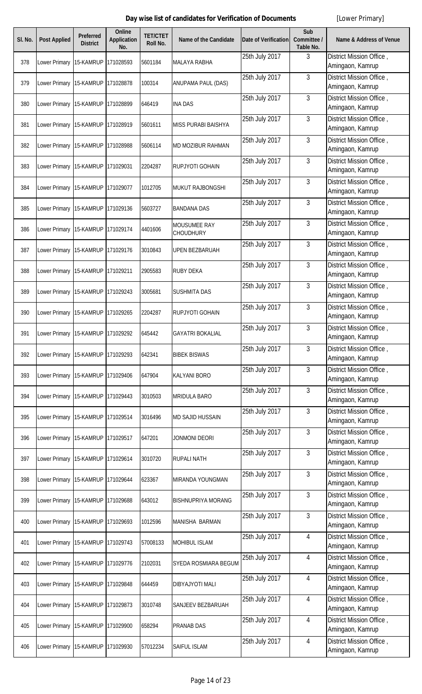| SI. No. | <b>Post Applied</b>                   | Preferred<br><b>District</b> | Online<br><b>Application</b><br>No. | <b>TET/CTET</b><br>Roll No. | <b>Name of the Candidate</b> | <b>Date of Verification</b> | Sub<br>Committee /<br>Table No. | <b>Name &amp; Address of Venue</b>           |
|---------|---------------------------------------|------------------------------|-------------------------------------|-----------------------------|------------------------------|-----------------------------|---------------------------------|----------------------------------------------|
| 378     | Lower Primary                         | 15-KAMRUP                    | 171028593                           | 5601184                     | <b>MALAYA RABHA</b>          | 25th July 2017              | 3                               | District Mission Office,<br>Amingaon, Kamrup |
| 379     | Lower Primary 15-KAMRUP               |                              | 171028878                           | 100314                      | ANUPAMA PAUL (DAS)           | 25th July 2017              | 3                               | District Mission Office,<br>Amingaon, Kamrup |
| 380     | Lower Primary                         | 15-KAMRUP                    | 171028899                           | 646419                      | <b>INA DAS</b>               | 25th July 2017              | 3                               | District Mission Office,<br>Amingaon, Kamrup |
| 381     | Lower Primary 15-KAMRUP               |                              | 171028919                           | 5601611                     | <b>MISS PURABI BAISHYA</b>   | 25th July 2017              | 3                               | District Mission Office,<br>Amingaon, Kamrup |
| 382     | Lower Primary 15-KAMRUP               |                              | 171028988                           | 5606114                     | MD MOZIBUR RAHMAN            | 25th July 2017              | 3                               | District Mission Office,<br>Amingaon, Kamrup |
| 383     | Lower Primary 15-KAMRUP               |                              | 171029031                           | 2204287                     | RUPJYOTI GOHAIN              | 25th July 2017              | 3                               | District Mission Office,<br>Amingaon, Kamrup |
| 384     | Lower Primary 15-KAMRUP               |                              | 171029077                           | 1012705                     | MUKUT RAJBONGSHI             | 25th July 2017              | 3                               | District Mission Office,<br>Amingaon, Kamrup |
| 385     | Lower Primary                         | 15-KAMRUP                    | 171029136                           | 5603727                     | <b>BANDANA DAS</b>           | 25th July 2017              | 3                               | District Mission Office,<br>Amingaon, Kamrup |
| 386     | Lower Primary 15-KAMRUP               |                              | 171029174                           | 4401606                     | MOUSUMEE RAY<br>CHOUDHURY    | 25th July 2017              | 3                               | District Mission Office,<br>Amingaon, Kamrup |
| 387     | Lower Primary                         | 15-KAMRUP                    | 171029176                           | 3010843                     | <b>UPEN BEZBARUAH</b>        | 25th July 2017              | 3                               | District Mission Office,<br>Amingaon, Kamrup |
| 388     | Lower Primary 15-KAMRUP               |                              | 171029211                           | 2905583                     | <b>RUBY DEKA</b>             | 25th July 2017              | 3                               | District Mission Office,<br>Amingaon, Kamrup |
| 389     | Lower Primary                         | 15-KAMRUP                    | 171029243                           | 3005681                     | <b>SUSHMITA DAS</b>          | 25th July 2017              | 3                               | District Mission Office,<br>Amingaon, Kamrup |
| 390     | Lower Primary 15-KAMRUP               |                              | 171029265                           | 2204287                     | RUPJYOTI GOHAIN              | 25th July 2017              | 3                               | District Mission Office,<br>Amingaon, Kamrup |
| 391     | Lower Primary   15-KAMRUP   171029292 |                              |                                     | 645442                      | <b>GAYATRI BOKALIAL</b>      | 25th July 2017              | 3                               | District Mission Office,<br>Amingaon, Kamrup |
| 392     | Lower Primary                         | 15-KAMRUP                    | 171029293                           | 642341                      | <b>BIBEK BISWAS</b>          | 25th July 2017              | 3                               | District Mission Office,<br>Amingaon, Kamrup |
| 393     | Lower Primary 15-KAMRUP               |                              | 171029406                           | 647904                      | <b>KALYANI BORO</b>          | 25th July 2017              | 3                               | District Mission Office,<br>Amingaon, Kamrup |
| 394     | Lower Primary                         | 15-KAMRUP                    | 171029443                           | 3010503                     | <b>MRIDULA BARO</b>          | 25th July 2017              | 3                               | District Mission Office,<br>Amingaon, Kamrup |
| 395     | Lower Primary 15-KAMRUP               |                              | 171029514                           | 3016496                     | <b>MD SAJID HUSSAIN</b>      | 25th July 2017              | 3                               | District Mission Office,<br>Amingaon, Kamrup |
| 396     | Lower Primary                         | 15-KAMRUP                    | 171029517                           | 647201                      | JONMONI DEORI                | 25th July 2017              | 3                               | District Mission Office,<br>Amingaon, Kamrup |
| 397     | Lower Primary 15-KAMRUP               |                              | 171029614                           | 3010720                     | <b>RUPALI NATH</b>           | 25th July 2017              | 3                               | District Mission Office,<br>Amingaon, Kamrup |
| 398     | Lower Primary 15-KAMRUP               |                              | 171029644                           | 623367                      | MIRANDA YOUNGMAN             | 25th July 2017              | 3                               | District Mission Office,<br>Amingaon, Kamrup |
| 399     | Lower Primary 15-KAMRUP               |                              | 171029688                           | 643012                      | <b>BISHNUPRIYA MORANG</b>    | 25th July 2017              | 3                               | District Mission Office,<br>Amingaon, Kamrup |
| 400     | Lower Primary   15-KAMRUP   171029693 |                              |                                     | 1012596                     | MANISHA BARMAN               | 25th July 2017              | 3                               | District Mission Office,<br>Amingaon, Kamrup |
| 401     | Lower Primary 15-KAMRUP               |                              | 171029743                           | 57008133                    | <b>MOHIBUL ISLAM</b>         | 25th July 2017              | 4                               | District Mission Office,<br>Amingaon, Kamrup |
| 402     | Lower Primary 15-KAMRUP 171029776     |                              |                                     | 2102031                     | SYEDA ROSMIARA BEGUM         | 25th July 2017              | 4                               | District Mission Office,<br>Amingaon, Kamrup |
| 403     | Lower Primary 15-KAMRUP               |                              | 171029848                           | 644459                      | <b>DIBYAJYOTI MALI</b>       | 25th July 2017              | 4                               | District Mission Office,<br>Amingaon, Kamrup |
| 404     | Lower Primary 15-KAMRUP               |                              | 171029873                           | 3010748                     | SANJEEV BEZBARUAH            | 25th July 2017              | 4                               | District Mission Office,<br>Amingaon, Kamrup |
| 405     | Lower Primary                         | 15-KAMRUP                    | 171029900                           | 658294                      | PRANAB DAS                   | 25th July 2017              | 4                               | District Mission Office,<br>Amingaon, Kamrup |
| 406     | Lower Primary 15-KAMRUP 171029930     |                              |                                     | 57012234                    | SAIFUL ISLAM                 | 25th July 2017              | 4                               | District Mission Office,<br>Amingaon, Kamrup |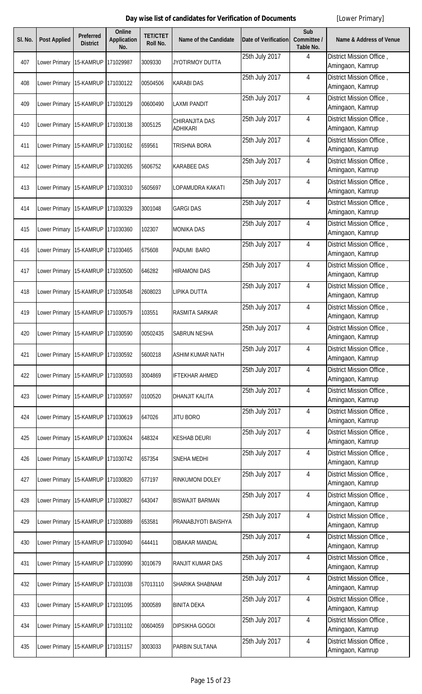| SI. No. | <b>Post Applied</b>                   | Preferred<br><b>District</b> | Online<br><b>Application</b><br>No. | <b>TET/CTET</b><br>Roll No. | <b>Name of the Candidate</b>      | <b>Date of Verification</b> | Sub<br>Committee /<br><b>Table No.</b> | <b>Name &amp; Address of Venue</b>           |
|---------|---------------------------------------|------------------------------|-------------------------------------|-----------------------------|-----------------------------------|-----------------------------|----------------------------------------|----------------------------------------------|
| 407     | Lower Primary                         | 15-KAMRUP                    | 171029987                           | 3009330                     | <b>JYOTIRMOY DUTTA</b>            | 25th July 2017              | 4                                      | District Mission Office,<br>Amingaon, Kamrup |
| 408     | Lower Primary 15-KAMRUP               |                              | 171030122                           | 00504506                    | <b>KARABI DAS</b>                 | 25th July 2017              | 4                                      | District Mission Office,<br>Amingaon, Kamrup |
| 409     | Lower Primary 15-KAMRUP               |                              | 171030129                           | 00600490                    | <b>LAXMI PANDIT</b>               | 25th July 2017              | 4                                      | District Mission Office,<br>Amingaon, Kamrup |
| 410     | Lower Primary 15-KAMRUP               |                              | 171030138                           | 3005125                     | CHIRANJITA DAS<br><b>ADHIKARI</b> | 25th July 2017              | 4                                      | District Mission Office,<br>Amingaon, Kamrup |
| 411     | Lower Primary 15-KAMRUP 171030162     |                              |                                     | 659561                      | TRISHNA BORA                      | 25th July 2017              | 4                                      | District Mission Office,<br>Amingaon, Kamrup |
| 412     | Lower Primary 15-KAMRUP               |                              | 171030265                           | 5606752                     | <b>KARABEE DAS</b>                | 25th July 2017              | 4                                      | District Mission Office,<br>Amingaon, Kamrup |
| 413     | Lower Primary 15-KAMRUP               |                              | 171030310                           | 5605697                     | LOPAMUDRA KAKATI                  | 25th July 2017              | 4                                      | District Mission Office,<br>Amingaon, Kamrup |
| 414     | Lower Primary                         | 15-KAMRUP                    | 171030329                           | 3001048                     | <b>GARGI DAS</b>                  | 25th July 2017              | 4                                      | District Mission Office,<br>Amingaon, Kamrup |
| 415     | Lower Primary 15-KAMRUP               |                              | 171030360                           | 102307                      | <b>MONIKA DAS</b>                 | 25th July 2017              | 4                                      | District Mission Office,<br>Amingaon, Kamrup |
| 416     | Lower Primary                         | 15-KAMRUP                    | 171030465                           | 675608                      | PADUMI BARO                       | 25th July 2017              | 4                                      | District Mission Office,<br>Amingaon, Kamrup |
| 417     | Lower Primary 15-KAMRUP               |                              | 171030500                           | 646282                      | <b>HIRAMONI DAS</b>               | 25th July 2017              | 4                                      | District Mission Office,<br>Amingaon, Kamrup |
| 418     | Lower Primary                         | 15-KAMRUP                    | 171030548                           | 2608023                     | LIPIKA DUTTA                      | 25th July 2017              | $\overline{4}$                         | District Mission Office,<br>Amingaon, Kamrup |
| 419     | Lower Primary 15-KAMRUP               |                              | 171030579                           | 103551                      | <b>RASMITA SARKAR</b>             | 25th July 2017              | $\overline{4}$                         | District Mission Office,<br>Amingaon, Kamrup |
| 420     | Lower Primary 15-KAMRUP 171030590     |                              |                                     | 00502435                    | SABRUN NESHA                      | 25th July 2017              | 4                                      | District Mission Office,<br>Amingaon, Kamrup |
| 421     | Lower Primary                         | 15-KAMRUP                    | 171030592                           | 5600218                     | <b>ASHIM KUMAR NATH</b>           | 25th July 2017              | 4                                      | District Mission Office,<br>Amingaon, Kamrup |
| 422     | Lower Primary 15-KAMRUP               |                              | 171030593                           | 3004869                     | <b>IFTEKHAR AHMED</b>             | 25th July 2017              | 4                                      | District Mission Office,<br>Amingaon, Kamrup |
| 423     | Lower Primary                         | 15-KAMRUP                    | 171030597                           | 0100520                     | <b>DHANJIT KALITA</b>             | 25th July 2017              | 4                                      | District Mission Office,<br>Amingaon, Kamrup |
| 424     | Lower Primary 15-KAMRUP 171030619     |                              |                                     | 647026                      | <b>JITU BORO</b>                  | 25th July 2017              | 4                                      | District Mission Office,<br>Amingaon, Kamrup |
| 425     | Lower Primary                         | 15-KAMRUP                    | 171030624                           | 648324                      | <b>KESHAB DEURI</b>               | 25th July 2017              | 4                                      | District Mission Office,<br>Amingaon, Kamrup |
| 426     | Lower Primary 15-KAMRUP               |                              | 171030742                           | 657354                      | <b>SNEHA MEDHI</b>                | 25th July 2017              | 4                                      | District Mission Office,<br>Amingaon, Kamrup |
| 427     | Lower Primary 15-KAMRUP               |                              | 171030820                           | 677197                      | RINKUMONI DOLEY                   | 25th July 2017              | 4                                      | District Mission Office,<br>Amingaon, Kamrup |
| 428     | Lower Primary 15-KAMRUP               |                              | 171030827                           | 643047                      | <b>BISWAJIT BARMAN</b>            | 25th July 2017              | 4                                      | District Mission Office,<br>Amingaon, Kamrup |
| 429     | Lower Primary   15-KAMRUP   171030889 |                              |                                     | 653581                      | PRANABJYOTI BAISHYA               | 25th July 2017              | 4                                      | District Mission Office,<br>Amingaon, Kamrup |
| 430     | Lower Primary 15-KAMRUP               |                              | 171030940                           | 644411                      | <b>DIBAKAR MANDAL</b>             | 25th July 2017              | 4                                      | District Mission Office,<br>Amingaon, Kamrup |
| 431     | Lower Primary 15-KAMRUP               |                              | 171030990                           | 3010679                     | RANJIT KUMAR DAS                  | 25th July 2017              | 4                                      | District Mission Office,<br>Amingaon, Kamrup |
| 432     | Lower Primary                         | 15-KAMRUP                    | 171031038                           | 57013110                    | SHARIKA SHABNAM                   | 25th July 2017              | 4                                      | District Mission Office,<br>Amingaon, Kamrup |
| 433     | Lower Primary 15-KAMRUP               |                              | 171031095                           | 3000589                     | <b>BINITA DEKA</b>                | 25th July 2017              | $\overline{4}$                         | District Mission Office,<br>Amingaon, Kamrup |
| 434     | Lower Primary                         | 15-KAMRUP                    | 171031102                           | 00604059                    | <b>DIPSIKHA GOGOI</b>             | 25th July 2017              | 4                                      | District Mission Office,<br>Amingaon, Kamrup |
| 435     | Lower Primary 15-KAMRUP 171031157     |                              |                                     | 3003033                     | PARBIN SULTANA                    | 25th July 2017              | 4                                      | District Mission Office,<br>Amingaon, Kamrup |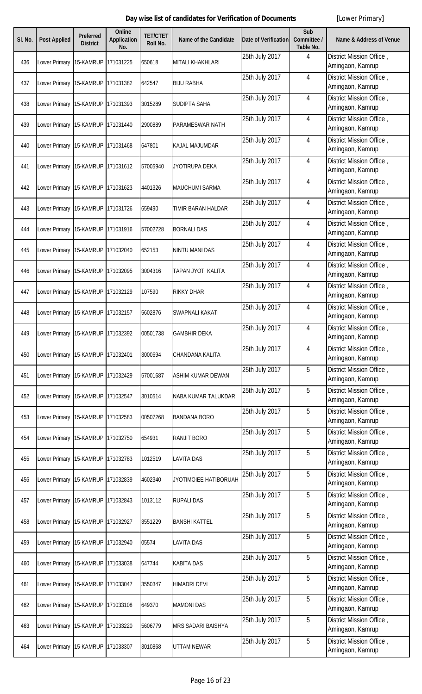| SI. No. | <b>Post Applied</b>               | <b>Preferred</b><br><b>District</b> | <b>Online</b><br><b>Application</b><br>No. | <b>TET/CTET</b><br><b>Roll No.</b> | <b>Name of the Candidate</b> | <b>Date of Verification</b> | Sub<br>Committee /<br>Table No. | <b>Name &amp; Address of Venue</b>           |
|---------|-----------------------------------|-------------------------------------|--------------------------------------------|------------------------------------|------------------------------|-----------------------------|---------------------------------|----------------------------------------------|
| 436     | Lower Primary                     | 15-KAMRUP                           | 171031225                                  | 650618                             | MITALI KHAKHLARI             | 25th July 2017              | 4                               | District Mission Office,<br>Amingaon, Kamrup |
| 437     | Lower Primary 15-KAMRUP           |                                     | 171031382                                  | 642547                             | <b>BIJU RABHA</b>            | 25th July 2017              | $\overline{4}$                  | District Mission Office,<br>Amingaon, Kamrup |
| 438     | Lower Primary                     | 15-KAMRUP                           | 171031393                                  | 3015289                            | <b>SUDIPTA SAHA</b>          | 25th July 2017              | $\overline{4}$                  | District Mission Office,<br>Amingaon, Kamrup |
| 439     | Lower Primary 15-KAMRUP           |                                     | 171031440                                  | 2900889                            | PARAMESWAR NATH              | 25th July 2017              | $\overline{4}$                  | District Mission Office,<br>Amingaon, Kamrup |
| 440     | Lower Primary                     | 15-KAMRUP                           | 171031468                                  | 647801                             | KAJAL MAJUMDAR               | 25th July 2017              | $\overline{4}$                  | District Mission Office,<br>Amingaon, Kamrup |
| 441     | Lower Primary 15-KAMRUP           |                                     | 171031612                                  | 57005940                           | JYOTIRUPA DEKA               | 25th July 2017              | 4                               | District Mission Office,<br>Amingaon, Kamrup |
| 442     | Lower Primary 15-KAMRUP           |                                     | 171031623                                  | 4401326                            | <b>MAUCHUMI SARMA</b>        | 25th July 2017              | $\overline{4}$                  | District Mission Office,<br>Amingaon, Kamrup |
| 443     | Lower Primary 15-KAMRUP           |                                     | 171031726                                  | 659490                             | TIMIR BARAN HALDAR           | 25th July 2017              | $\overline{4}$                  | District Mission Office,<br>Amingaon, Kamrup |
| 444     | Lower Primary 15-KAMRUP           |                                     | 171031916                                  | 57002728                           | <b>BORNALI DAS</b>           | 25th July 2017              | $\overline{4}$                  | District Mission Office,<br>Amingaon, Kamrup |
| 445     | Lower Primary 15-KAMRUP           |                                     | 171032040                                  | 652153                             | <b>NINTU MANI DAS</b>        | 25th July 2017              | $\overline{4}$                  | District Mission Office,<br>Amingaon, Kamrup |
| 446     | Lower Primary 15-KAMRUP           |                                     | 171032095                                  | 3004316                            | TAPAN JYOTI KALITA           | 25th July 2017              | $\overline{4}$                  | District Mission Office,<br>Amingaon, Kamrup |
| 447     | Lower Primary                     | 15-KAMRUP                           | 171032129                                  | 107590                             | <b>RIKKY DHAR</b>            | 25th July 2017              | $\overline{4}$                  | District Mission Office,<br>Amingaon, Kamrup |
| 448     | Lower Primary 15-KAMRUP           |                                     | 171032157                                  | 5602876                            | SWAPNALI KAKATI              | 25th July 2017              | $\overline{4}$                  | District Mission Office,<br>Amingaon, Kamrup |
| 449     | Lower Primary 15-KAMRUP 171032392 |                                     |                                            | 00501738                           | <b>GAMBHIR DEKA</b>          | 25th July 2017              | $\overline{4}$                  | District Mission Office,<br>Amingaon, Kamrup |
| 450     | Lower Primary                     | 15-KAMRUP                           | 171032401                                  | 3000694                            | CHANDANA KALITA              | 25th July 2017              | $\overline{4}$                  | District Mission Office,<br>Amingaon, Kamrup |
| 451     | Lower Primary 15-KAMRUP           |                                     | 171032429                                  | 57001687                           | ASHIM KUMAR DEWAN            | 25th July 2017              | 5                               | District Mission Office,<br>Amingaon, Kamrup |
| 452     | Lower Primary                     | 15-KAMRUP                           | 171032547                                  | 3010514                            | <b>NABA KUMAR TALUKDAR</b>   | 25th July 2017              | 5                               | District Mission Office,<br>Amingaon, Kamrup |
| 453     | Lower Primary 15-KAMRUP           |                                     | 171032583                                  | 00507268                           | <b>BANDANA BORO</b>          | 25th July 2017              | 5                               | District Mission Office,<br>Amingaon, Kamrup |
| 454     | Lower Primary                     | 15-KAMRUP                           | 171032750                                  | 654931                             | <b>RANJIT BORO</b>           | 25th July 2017              | 5                               | District Mission Office,<br>Amingaon, Kamrup |
| 455     | Lower Primary 15-KAMRUP           |                                     | 171032783                                  | 1012519                            | <b>LAVITA DAS</b>            | 25th July 2017              | 5                               | District Mission Office,<br>Amingaon, Kamrup |
| 456     | Lower Primary                     | 15-KAMRUP                           | 171032839                                  | 4602340                            | JYOTIMOIEE HATIBORUAH        | 25th July 2017              | 5                               | District Mission Office,<br>Amingaon, Kamrup |
| 457     | Lower Primary 15-KAMRUP           |                                     | 171032843                                  | 1013112                            | <b>RUPALI DAS</b>            | 25th July 2017              | 5                               | District Mission Office,<br>Amingaon, Kamrup |
| 458     | Lower Primary 15-KAMRUP           |                                     | 171032927                                  | 3551229                            | <b>BANSHI KATTEL</b>         | 25th July 2017              | 5                               | District Mission Office,<br>Amingaon, Kamrup |
| 459     | Lower Primary 15-KAMRUP           |                                     | 171032940                                  | 05574                              | <b>LAVITA DAS</b>            | 25th July 2017              | 5                               | District Mission Office,<br>Amingaon, Kamrup |
| 460     | Lower Primary 15-KAMRUP           |                                     | 171033038                                  | 647744                             | <b>KABITA DAS</b>            | 25th July 2017              | 5                               | District Mission Office,<br>Amingaon, Kamrup |
| 461     | Lower Primary 15-KAMRUP           |                                     | 171033047                                  | 3550347                            | <b>HIMADRI DEVI</b>          | 25th July 2017              | 5                               | District Mission Office,<br>Amingaon, Kamrup |
| 462     | Lower Primary 15-KAMRUP           |                                     | 171033108                                  | 649370                             | <b>MAMONI DAS</b>            | 25th July 2017              | 5                               | District Mission Office,<br>Amingaon, Kamrup |
| 463     | Lower Primary 15-KAMRUP           |                                     | 171033220                                  | 5606779                            | MRS SADARI BAISHYA           | 25th July 2017              | 5                               | District Mission Office,<br>Amingaon, Kamrup |
| 464     | Lower Primary 15-KAMRUP 171033307 |                                     |                                            | 3010868                            | UTTAM NEWAR                  | 25th July 2017              | 5                               | District Mission Office,<br>Amingaon, Kamrup |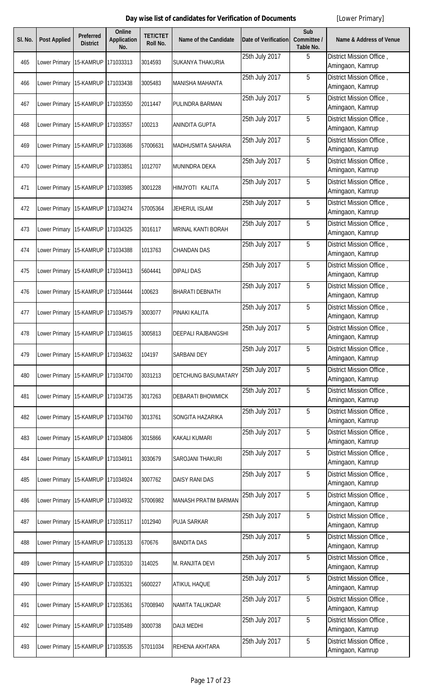| SI. No. | <b>Post Applied</b>               | <b>Preferred</b><br><b>District</b> | <b>Online</b><br><b>Application</b><br>No. | <b>TET/CTET</b><br>Roll No. | <b>Name of the Candidate</b> | <b>Date of Verification</b> | Sub<br>Committee /<br>Table No. | <b>Name &amp; Address of Venue</b>           |
|---------|-----------------------------------|-------------------------------------|--------------------------------------------|-----------------------------|------------------------------|-----------------------------|---------------------------------|----------------------------------------------|
| 465     | Lower Primary 15-KAMRUP           |                                     | 171033313                                  | 3014593                     | SUKANYA THAKURIA             | 25th July 2017              | 5                               | District Mission Office,<br>Amingaon, Kamrup |
| 466     | Lower Primary 15-KAMRUP           |                                     | 171033438                                  | 3005483                     | <b>MANISHA MAHANTA</b>       | 25th July 2017              | 5                               | District Mission Office,<br>Amingaon, Kamrup |
| 467     | Lower Primary 15-KAMRUP           |                                     | 171033550                                  | 2011447                     | PULINDRA BARMAN              | 25th July 2017              | 5                               | District Mission Office,<br>Amingaon, Kamrup |
| 468     | Lower Primary 15-KAMRUP           |                                     | 171033557                                  | 100213                      | <b>ANINDITA GUPTA</b>        | 25th July 2017              | 5                               | District Mission Office,<br>Amingaon, Kamrup |
| 469     | Lower Primary 15-KAMRUP           |                                     | 171033686                                  | 57006631                    | MADHUSMITA SAHARIA           | 25th July 2017              | 5                               | District Mission Office,<br>Amingaon, Kamrup |
| 470     | Lower Primary                     | 15-KAMRUP                           | 171033851                                  | 1012707                     | MUNINDRA DEKA                | 25th July 2017              | 5                               | District Mission Office,<br>Amingaon, Kamrup |
| 471     | Lower Primary                     | 15-KAMRUP                           | 171033985                                  | 3001228                     | HIMJYOTI KALITA              | 25th July 2017              | 5                               | District Mission Office,<br>Amingaon, Kamrup |
| 472     | Lower Primary                     | 15-KAMRUP                           | 171034274                                  | 57005364                    | JEHERUL ISLAM                | 25th July 2017              | 5                               | District Mission Office,<br>Amingaon, Kamrup |
| 473     | Lower Primary                     | 15-KAMRUP                           | 171034325                                  | 3016117                     | MRINAL KANTI BORAH           | 25th July 2017              | 5                               | District Mission Office,<br>Amingaon, Kamrup |
| 474     | Lower Primary                     | 15-KAMRUP                           | 171034388                                  | 1013763                     | <b>CHANDAN DAS</b>           | 25th July 2017              | 5                               | District Mission Office,<br>Amingaon, Kamrup |
| 475     | Lower Primary 15-KAMRUP           |                                     | 171034413                                  | 5604441                     | <b>DIPALI DAS</b>            | 25th July 2017              | 5                               | District Mission Office,<br>Amingaon, Kamrup |
| 476     | Lower Primary                     | 15-KAMRUP                           | 171034444                                  | 100623                      | <b>BHARATI DEBNATH</b>       | 25th July 2017              | 5                               | District Mission Office,<br>Amingaon, Kamrup |
| 477     | Lower Primary                     | 15-KAMRUP                           | 171034579                                  | 3003077                     | PINAKI KALITA                | 25th July 2017              | 5                               | District Mission Office,<br>Amingaon, Kamrup |
| 478     | Lower Primary 15-KAMRUP 171034615 |                                     |                                            | 3005813                     | <b>DEEPALI RAJBANGSHI</b>    | 25th July 2017              | 5                               | District Mission Office,<br>Amingaon, Kamrup |
| 479     | Lower Primary 15-KAMRUP           |                                     | 171034632                                  | 104197                      | <b>SARBANI DEY</b>           | 25th July 2017              | 5                               | District Mission Office,<br>Amingaon, Kamrup |
| 480     | Lower Primary 15-KAMRUP 171034700 |                                     |                                            | 3031213                     | <b>DETCHUNG BASUMATARY</b>   | 25th July 2017              | 5                               | District Mission Office,<br>Amingaon, Kamrup |
| 481     | Lower Primary                     | 15-KAMRUP                           | 171034735                                  | 3017263                     | <b>DEBARATI BHOWMICK</b>     | 25th July 2017              | 5                               | District Mission Office,<br>Amingaon, Kamrup |
| 482     | Lower Primary 15-KAMRUP           |                                     | 171034760                                  | 3013761                     | SONGITA HAZARIKA             | 25th July 2017              | 5                               | District Mission Office,<br>Amingaon, Kamrup |
| 483     | Lower Primary 15-KAMRUP           |                                     | 171034806                                  | 3015866                     | <b>KAKALI KUMARI</b>         | 25th July 2017              | 5                               | District Mission Office,<br>Amingaon, Kamrup |
| 484     | Lower Primary 15-KAMRUP 171034911 |                                     |                                            | 3030679                     | SAROJANI THAKURI             | 25th July 2017              | 5                               | District Mission Office,<br>Amingaon, Kamrup |
| 485     | Lower Primary 15-KAMRUP 171034924 |                                     |                                            | 3007762                     | <b>DAISY RANI DAS</b>        | 25th July 2017              | 5                               | District Mission Office,<br>Amingaon, Kamrup |
| 486     | Lower Primary 15-KAMRUP           |                                     | 171034932                                  | 57006982                    | MANASH PRATIM BARMAN         | 25th July 2017              | 5                               | District Mission Office,<br>Amingaon, Kamrup |
| 487     | Lower Primary 15-KAMRUP           |                                     | 171035117                                  | 1012940                     | <b>PUJA SARKAR</b>           | 25th July 2017              | 5                               | District Mission Office,<br>Amingaon, Kamrup |
| 488     | Lower Primary                     | 15-KAMRUP                           | 171035133                                  | 670676                      | <b>BANDITA DAS</b>           | 25th July 2017              | 5                               | District Mission Office,<br>Amingaon, Kamrup |
| 489     | Lower Primary 15-KAMRUP           |                                     | 171035310                                  | 314025                      | M. RANJITA DEVI              | 25th July 2017              | 5                               | District Mission Office,<br>Amingaon, Kamrup |
| 490     | Lower Primary                     | 15-KAMRUP                           | 171035321                                  | 5600227                     | <b>ATIKUL HAQUE</b>          | 25th July 2017              | 5                               | District Mission Office,<br>Amingaon, Kamrup |
| 491     | Lower Primary 15-KAMRUP           |                                     | 171035361                                  | 57008940                    | NAMITA TALUKDAR              | 25th July 2017              | 5                               | District Mission Office,<br>Amingaon, Kamrup |
| 492     | Lower Primary                     | 15-KAMRUP                           | 171035489                                  | 3000738                     | <b>DAIJI MEDHI</b>           | 25th July 2017              | 5                               | District Mission Office,<br>Amingaon, Kamrup |
| 493     | Lower Primary 15-KAMRUP 171035535 |                                     |                                            | 57011034                    | REHENA AKHTARA               | 25th July 2017              | 5                               | District Mission Office,<br>Amingaon, Kamrup |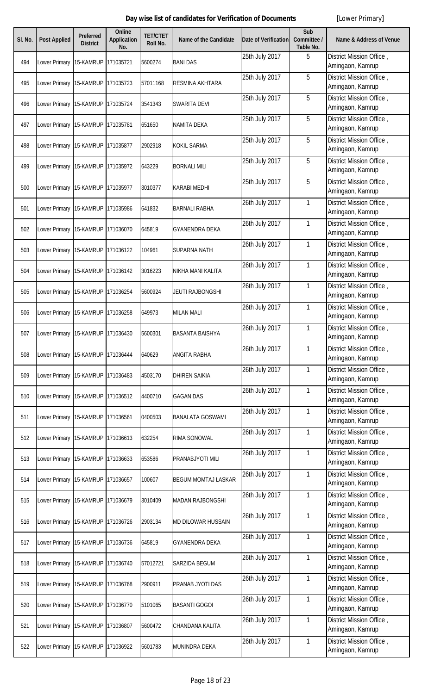| SI. No. | <b>Post Applied</b>               | Preferred<br><b>District</b> | Online<br><b>Application</b><br>No. | <b>TET/CTET</b><br>Roll No. | <b>Name of the Candidate</b> | <b>Date of Verification</b> | Sub<br>Committee /<br>Table No. | <b>Name &amp; Address of Venue</b>           |
|---------|-----------------------------------|------------------------------|-------------------------------------|-----------------------------|------------------------------|-----------------------------|---------------------------------|----------------------------------------------|
| 494     | Lower Primary                     | 15-KAMRUP                    | 171035721                           | 5600274                     | <b>BANI DAS</b>              | 25th July 2017              | 5                               | District Mission Office,<br>Amingaon, Kamrup |
| 495     | Lower Primary 15-KAMRUP           |                              | 171035723                           | 57011168                    | RESMINA AKHTARA              | 25th July 2017              | 5                               | District Mission Office,<br>Amingaon, Kamrup |
| 496     | Lower Primary                     | 15-KAMRUP                    | 171035724                           | 3541343                     | <b>SWARITA DEVI</b>          | 25th July 2017              | 5                               | District Mission Office,<br>Amingaon, Kamrup |
| 497     | Lower Primary                     | 15-KAMRUP                    | 171035781                           | 651650                      | <b>NAMITA DEKA</b>           | 25th July 2017              | 5                               | District Mission Office,<br>Amingaon, Kamrup |
| 498     | Lower Primary                     | 15-KAMRUP                    | 171035877                           | 2902918                     | <b>KOKIL SARMA</b>           | 25th July 2017              | 5                               | District Mission Office,<br>Amingaon, Kamrup |
| 499     | Lower Primary 15-KAMRUP           |                              | 171035972                           | 643229                      | <b>BORNALI MILI</b>          | 25th July 2017              | 5                               | District Mission Office,<br>Amingaon, Kamrup |
| 500     | Lower Primary 15-KAMRUP           |                              | 171035977                           | 3010377                     | <b>KARABI MEDHI</b>          | 25th July 2017              | 5                               | District Mission Office,<br>Amingaon, Kamrup |
| 501     | Lower Primary 15-KAMRUP           |                              | 171035986                           | 641832                      | <b>BARNALI RABHA</b>         | 26th July 2017              | $\mathbf{1}$                    | District Mission Office,<br>Amingaon, Kamrup |
| 502     | Lower Primary 15-KAMRUP           |                              | 171036070                           | 645819                      | <b>GYANENDRA DEKA</b>        | 26th July 2017              | $\mathbf{1}$                    | District Mission Office,<br>Amingaon, Kamrup |
| 503     | Lower Primary 15-KAMRUP           |                              | 171036122                           | 104961                      | <b>SUPARNA NATH</b>          | 26th July 2017              | $\mathbf{1}$                    | District Mission Office,<br>Amingaon, Kamrup |
| 504     | Lower Primary 15-KAMRUP 171036142 |                              |                                     | 3016223                     | NIKHA MANI KALITA            | 26th July 2017              | $\mathbf{1}$                    | District Mission Office,<br>Amingaon, Kamrup |
| 505     | Lower Primary 15-KAMRUP           |                              | 171036254                           | 5600924                     | <b>JEUTI RAJBONGSHI</b>      | 26th July 2017              | $\mathbf{1}$                    | District Mission Office,<br>Amingaon, Kamrup |
| 506     | Lower Primary                     | 15-KAMRUP                    | 171036258                           | 649973                      | <b>MILAN MALI</b>            | 26th July 2017              | $\mathbf{1}$                    | District Mission Office,<br>Amingaon, Kamrup |
| 507     | Lower Primary 15-KAMRUP 171036430 |                              |                                     | 5600301                     | <b>BASANTA BAISHYA</b>       | 26th July 2017              | $\mathbf{1}$                    | District Mission Office,<br>Amingaon, Kamrup |
| 508     | Lower Primary                     | 15-KAMRUP                    | 171036444                           | 640629                      | <b>ANGITA RABHA</b>          | 26th July 2017              | 1                               | District Mission Office,<br>Amingaon, Kamrup |
| 509     | Lower Primary 15-KAMRUP           |                              | 171036483                           | 4503170                     | <b>DHIREN SAIKIA</b>         | 26th July 2017              | $\mathbf{1}$                    | District Mission Office,<br>Amingaon, Kamrup |
| 510     | Lower Primary                     | 15-KAMRUP                    | 171036512                           | 4400710                     | <b>GAGAN DAS</b>             | 26th July 2017              | $\mathbf{1}$                    | District Mission Office,<br>Amingaon, Kamrup |
| 511     | Lower Primary                     | 15-KAMRUP                    | 171036561                           | 0400503                     | <b>BANALATA GOSWAMI</b>      | 26th July 2017              | $\mathbf{1}$                    | District Mission Office,<br>Amingaon, Kamrup |
| 512     | Lower Primary                     | 15-KAMRUP                    | 171036613                           | 632254                      | RIMA SONOWAL                 | 26th July 2017              | $\mathbf{1}$                    | District Mission Office,<br>Amingaon, Kamrup |
| 513     | Lower Primary 15-KAMRUP           |                              | 171036633                           | 653586                      | PRANABJYOTI MILI             | 26th July 2017              | $\mathbf{1}$                    | District Mission Office,<br>Amingaon, Kamrup |
| 514     | Lower Primary                     | 15-KAMRUP                    | 171036657                           | 100607                      | <b>BEGUM MOMTAJ LASKAR</b>   | 26th July 2017              | $\mathbf{1}$                    | District Mission Office,<br>Amingaon, Kamrup |
| 515     | Lower Primary                     | 15-KAMRUP                    | 171036679                           | 3010409                     | <b>MADAN RAJBONGSHI</b>      | 26th July 2017              | $\mathbf{1}$                    | District Mission Office,<br>Amingaon, Kamrup |
| 516     | Lower Primary                     | 15-KAMRUP                    | 171036726                           | 2903134                     | <b>MD DILOWAR HUSSAIN</b>    | 26th July 2017              | $\mathbf{1}$                    | District Mission Office,<br>Amingaon, Kamrup |
| 517     | Lower Primary 15-KAMRUP           |                              | 171036736                           | 645819                      | <b>GYANENDRA DEKA</b>        | 26th July 2017              | $\mathbf{1}$                    | District Mission Office,<br>Amingaon, Kamrup |
| 518     | Lower Primary                     | 15-KAMRUP                    | 171036740                           | 57012721                    | SARZIDA BEGUM                | 26th July 2017              | $\mathbf{1}$                    | District Mission Office,<br>Amingaon, Kamrup |
| 519     | Lower Primary 15-KAMRUP           |                              | 171036768                           | 2900911                     | PRANAB JYOTI DAS             | 26th July 2017              | $\mathbf{1}$                    | District Mission Office,<br>Amingaon, Kamrup |
| 520     | Lower Primary 15-KAMRUP           |                              | 171036770                           | 5101065                     | <b>BASANTI GOGOI</b>         | 26th July 2017              | $\mathbf{1}$                    | District Mission Office,<br>Amingaon, Kamrup |
| 521     | Lower Primary 15-KAMRUP           |                              | 171036807                           | 5600472                     | CHANDANA KALITA              | 26th July 2017              | $\mathbf{1}$                    | District Mission Office,<br>Amingaon, Kamrup |
| 522     | Lower Primary 15-KAMRUP 171036922 |                              |                                     | 5601783                     | MUNINDRA DEKA                | 26th July 2017              | 1                               | District Mission Office,<br>Amingaon, Kamrup |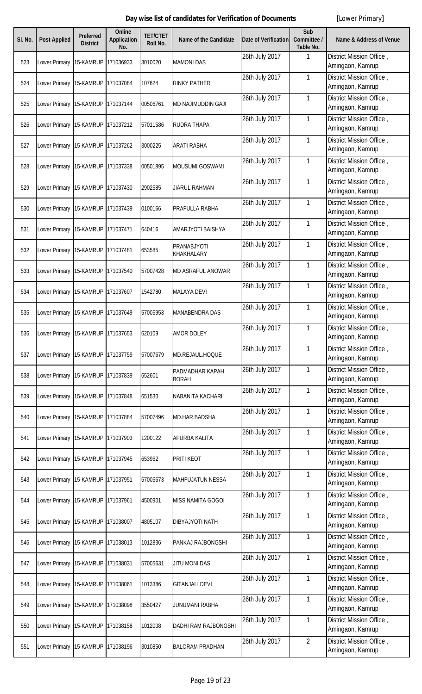| SI. No. | <b>Post Applied</b>                   | Preferred<br><b>District</b> | <b>Online</b><br><b>Application</b><br>No. | <b>TET/CTET</b><br>Roll No. | <b>Name of the Candidate</b>    | <b>Date of Verification</b> | Sub<br>Committee /<br>Table No. | <b>Name &amp; Address of Venue</b>           |
|---------|---------------------------------------|------------------------------|--------------------------------------------|-----------------------------|---------------------------------|-----------------------------|---------------------------------|----------------------------------------------|
| 523     | Lower Primary                         | 15-KAMRUP                    | 171036933                                  | 3010020                     | <b>MAMONI DAS</b>               | 26th July 2017              | 1                               | District Mission Office,<br>Amingaon, Kamrup |
| 524     | Lower Primary 15-KAMRUP               |                              | 171037084                                  | 107624                      | <b>RINKY PATHER</b>             | 26th July 2017              | 1                               | District Mission Office,<br>Amingaon, Kamrup |
| 525     | Lower Primary                         | 15-KAMRUP                    | 171037144                                  | 00506761                    | <b>MD NAJIMUDDIN GAJI</b>       | 26th July 2017              | 1                               | District Mission Office,<br>Amingaon, Kamrup |
| 526     | Lower Primary 15-KAMRUP               |                              | 171037212                                  | 57011586                    | <b>RUDRA THAPA</b>              | 26th July 2017              | 1                               | District Mission Office,<br>Amingaon, Kamrup |
| 527     | Lower Primary 15-KAMRUP               |                              | 171037262                                  | 3000225                     | ARATI RABHA                     | 26th July 2017              | 1                               | District Mission Office,<br>Amingaon, Kamrup |
| 528     | Lower Primary 15-KAMRUP               |                              | 171037338                                  | 00501895                    | MOUSUMI GOSWAMI                 | 26th July 2017              | 1                               | District Mission Office,<br>Amingaon, Kamrup |
| 529     | Lower Primary 15-KAMRUP               |                              | 171037430                                  | 2902685                     | <b>JIARUL RAHMAN</b>            | 26th July 2017              | 1                               | District Mission Office,<br>Amingaon, Kamrup |
| 530     | Lower Primary                         | 15-KAMRUP                    | 171037439                                  | 0100166                     | PRAFULLA RABHA                  | 26th July 2017              | 1                               | District Mission Office,<br>Amingaon, Kamrup |
| 531     | Lower Primary 15-KAMRUP               |                              | 171037471                                  | 640416                      | AMARJYOTI BAISHYA               | 26th July 2017              | 1                               | District Mission Office,<br>Amingaon, Kamrup |
| 532     | Lower Primary                         | 15-KAMRUP                    | 171037481                                  | 653585                      | PRANABJYOTI<br>KHAKHALARY       | 26th July 2017              | 1                               | District Mission Office,<br>Amingaon, Kamrup |
| 533     | Lower Primary 15-KAMRUP               |                              | 171037540                                  | 57007428                    | MD ASRAFUL ANOWAR               | 26th July 2017              | 1                               | District Mission Office,<br>Amingaon, Kamrup |
| 534     | Lower Primary                         | 15-KAMRUP                    | 171037607                                  | 1542780                     | <b>MALAYA DEVI</b>              | 26th July 2017              | 1                               | District Mission Office,<br>Amingaon, Kamrup |
| 535     | Lower Primary 15-KAMRUP               |                              | 171037649                                  | 57006953                    | MANABENDRA DAS                  | 26th July 2017              | $\mathbf{1}$                    | District Mission Office,<br>Amingaon, Kamrup |
| 536     | Lower Primary   15-KAMRUP   171037653 |                              |                                            | 620109                      | <b>AMOR DOLEY</b>               | 26th July 2017              | 1                               | District Mission Office,<br>Amingaon, Kamrup |
| 537     | Lower Primary                         | 15-KAMRUP                    | 171037759                                  | 57007679                    | MD.REJAUL.HOQUE                 | 26th July 2017              | 1                               | District Mission Office,<br>Amingaon, Kamrup |
| 538     | Lower Primary 15-KAMRUP               |                              | 171037839                                  | 652601                      | PADMADHAR KAPAH<br><b>BORAH</b> | 26th July 2017              | 1                               | District Mission Office,<br>Amingaon, Kamrup |
| 539     | Lower Primary                         | 15-KAMRUP                    | 171037848                                  | 651530                      | NABANITA KACHARI                | 26th July 2017              | 1                               | District Mission Office,<br>Amingaon, Kamrup |
| 540     | Lower Primary 15-KAMRUP               |                              | 171037884                                  | 57007496                    | MD.HAR.BADSHA                   | 26th July 2017              | 1                               | District Mission Office,<br>Amingaon, Kamrup |
| 541     | Lower Primary                         | 15-KAMRUP                    | 171037903                                  | 1200122                     | APURBA KALITA                   | 26th July 2017              | 1                               | District Mission Office,<br>Amingaon, Kamrup |
| 542     | Lower Primary 15-KAMRUP               |                              | 171037945                                  | 653962                      | PRITI KEOT                      | 26th July 2017              | 1                               | District Mission Office,<br>Amingaon, Kamrup |
| 543     | Lower Primary 15-KAMRUP               |                              | 171037951                                  | 57006673                    | <b>MAHFUJATUN NESSA</b>         | 26th July 2017              | 1                               | District Mission Office,<br>Amingaon, Kamrup |
| 544     | Lower Primary 15-KAMRUP               |                              | 171037961                                  | 4500901                     | MISS NAMITA GOGOI               | 26th July 2017              | 1                               | District Mission Office,<br>Amingaon, Kamrup |
| 545     | Lower Primary 15-KAMRUP 171038007     |                              |                                            | 4805107                     | DIBYAJYOTI NATH                 | 26th July 2017              | 1                               | District Mission Office,<br>Amingaon, Kamrup |
| 546     | Lower Primary 15-KAMRUP               |                              | 171038013                                  | 1012836                     | PANKAJ RAJBONGSHI               | 26th July 2017              | 1                               | District Mission Office,<br>Amingaon, Kamrup |
| 547     | Lower Primary 15-KAMRUP 171038031     |                              |                                            | 57005631                    | JITU MONI DAS                   | 26th July 2017              | 1                               | District Mission Office,<br>Amingaon, Kamrup |
| 548     | Lower Primary 15-KAMRUP               |                              | 171038061                                  | 1013386                     | <b>GITANJALI DEVI</b>           | 26th July 2017              | $\mathbf{1}$                    | District Mission Office,<br>Amingaon, Kamrup |
| 549     | Lower Primary 15-KAMRUP               |                              | 171038098                                  | 3550427                     | JUNUMANI RABHA                  | 26th July 2017              | 1                               | District Mission Office,<br>Amingaon, Kamrup |
| 550     | Lower Primary                         | 15-KAMRUP                    | 171038158                                  | 1012008                     | <b>DADHI RAM RAJBONGSHI</b>     | 26th July 2017              | $\mathbf{1}$                    | District Mission Office,<br>Amingaon, Kamrup |
| 551     | Lower Primary 15-KAMRUP 171038196     |                              |                                            | 3010850                     | <b>BALORAM PRADHAN</b>          | 26th July 2017              | $\overline{2}$                  | District Mission Office,<br>Amingaon, Kamrup |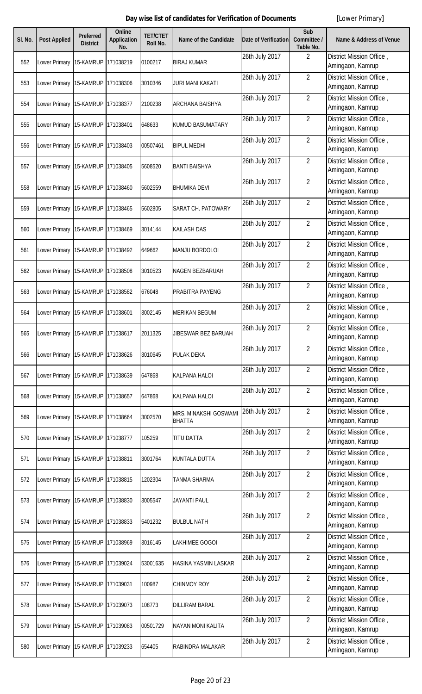| SI. No. | <b>Post Applied</b>               | Preferred<br><b>District</b> | <b>Online</b><br><b>Application</b><br>No. | <b>TET/CTET</b><br><b>Roll No.</b> | <b>Name of the Candidate</b>          | <b>Date of Verification</b> | Sub<br>Committee /<br>Table No. | <b>Name &amp; Address of Venue</b>           |
|---------|-----------------------------------|------------------------------|--------------------------------------------|------------------------------------|---------------------------------------|-----------------------------|---------------------------------|----------------------------------------------|
| 552     | Lower Primary                     | 15-KAMRUP                    | 171038219                                  | 0100217                            | <b>BIRAJ KUMAR</b>                    | 26th July 2017              | $\overline{2}$                  | District Mission Office,<br>Amingaon, Kamrup |
| 553     | Lower Primary 15-KAMRUP           |                              | 171038306                                  | 3010346                            | <b>JURI MANI KAKATI</b>               | 26th July 2017              | $\overline{2}$                  | District Mission Office,<br>Amingaon, Kamrup |
| 554     | Lower Primary                     | 15-KAMRUP                    | 171038377                                  | 2100238                            | <b>ARCHANA BAISHYA</b>                | 26th July 2017              | $\overline{2}$                  | District Mission Office,<br>Amingaon, Kamrup |
| 555     | Lower Primary 15-KAMRUP           |                              | 171038401                                  | 648633                             | <b>KUMUD BASUMATARY</b>               | 26th July 2017              | $\overline{2}$                  | District Mission Office,<br>Amingaon, Kamrup |
| 556     | Lower Primary                     | 15-KAMRUP                    | 171038403                                  | 00507461                           | <b>BIPUL MEDHI</b>                    | 26th July 2017              | $\overline{2}$                  | District Mission Office,<br>Amingaon, Kamrup |
| 557     | Lower Primary 15-KAMRUP           |                              | 171038405                                  | 5608520                            | <b>BANTI BAISHYA</b>                  | 26th July 2017              | $\overline{2}$                  | District Mission Office,<br>Amingaon, Kamrup |
| 558     | Lower Primary 15-KAMRUP           |                              | 171038460                                  | 5602559                            | <b>BHUMIKA DEVI</b>                   | 26th July 2017              | $\overline{2}$                  | District Mission Office,<br>Amingaon, Kamrup |
| 559     | Lower Primary 15-KAMRUP           |                              | 171038465                                  | 5602805                            | <b>SARAT CH. PATOWARY</b>             | 26th July 2017              | $\overline{2}$                  | District Mission Office,<br>Amingaon, Kamrup |
| 560     | Lower Primary 15-KAMRUP           |                              | 171038469                                  | 3014144                            | <b>KAILASH DAS</b>                    | 26th July 2017              | $\overline{2}$                  | District Mission Office,<br>Amingaon, Kamrup |
| 561     | Lower Primary 15-KAMRUP           |                              | 171038492                                  | 649662                             | <b>MANJU BORDOLOI</b>                 | 26th July 2017              | $\overline{2}$                  | District Mission Office,<br>Amingaon, Kamrup |
| 562     | Lower Primary 15-KAMRUP           |                              | 171038508                                  | 3010523                            | <b>NAGEN BEZBARUAH</b>                | 26th July 2017              | $\overline{2}$                  | District Mission Office,<br>Amingaon, Kamrup |
| 563     | Lower Primary 15-KAMRUP           |                              | 171038582                                  | 676048                             | PRABITRA PAYENG                       | 26th July 2017              | $\overline{2}$                  | District Mission Office,<br>Amingaon, Kamrup |
| 564     | Lower Primary 15-KAMRUP           |                              | 171038601                                  | 3002145                            | <b>MERIKAN BEGUM</b>                  | 26th July 2017              | $\overline{2}$                  | District Mission Office,<br>Amingaon, Kamrup |
| 565     | Lower Primary 15-KAMRUP 171038617 |                              |                                            | 2011325                            | JIBESWAR BEZ BARUAH                   | 26th July 2017              | $\overline{2}$                  | District Mission Office,<br>Amingaon, Kamrup |
| 566     | Lower Primary                     | 15-KAMRUP                    | 171038626                                  | 3010645                            | <b>PULAK DEKA</b>                     | 26th July 2017              | $\overline{2}$                  | District Mission Office,<br>Amingaon, Kamrup |
| 567     | Lower Primary 15-KAMRUP           |                              | 171038639                                  | 647868                             | <b>KALPANA HALOI</b>                  | 26th July 2017              | $\overline{2}$                  | District Mission Office,<br>Amingaon, Kamrup |
| 568     | Lower Primary                     | 15-KAMRUP                    | 171038657                                  | 647868                             | <b>KALPANA HALOI</b>                  | 26th July 2017              | $\overline{2}$                  | District Mission Office,<br>Amingaon, Kamrup |
| 569     | Lower Primary 15-KAMRUP           |                              | 171038664                                  | 3002570                            | MRS. MINAKSHI GOSWAM<br><b>BHATTA</b> | 26th July 2017              | $\overline{2}$                  | District Mission Office,<br>Amingaon, Kamrup |
| 570     | Lower Primary 15-KAMRUP           |                              | 171038777                                  | 105259                             | <b>TITU DATTA</b>                     | 26th July 2017              | $\overline{2}$                  | District Mission Office,<br>Amingaon, Kamrup |
| 571     | Lower Primary 15-KAMRUP           |                              | 171038811                                  | 3001764                            | <b>KUNTALA DUTTA</b>                  | 26th July 2017              | $\overline{2}$                  | District Mission Office,<br>Amingaon, Kamrup |
| 572     | Lower Primary                     | 15-KAMRUP                    | 171038815                                  | 1202304                            | <b>TANMA SHARMA</b>                   | 26th July 2017              | $\overline{2}$                  | District Mission Office,<br>Amingaon, Kamrup |
| 573     | Lower Primary 15-KAMRUP           |                              | 171038830                                  | 3005547                            | <b>JAYANTI PAUL</b>                   | 26th July 2017              | $\overline{2}$                  | District Mission Office,<br>Amingaon, Kamrup |
| 574     | Lower Primary 15-KAMRUP           |                              | 171038833                                  | 5401232                            | <b>BULBUL NATH</b>                    | 26th July 2017              | $\overline{2}$                  | District Mission Office,<br>Amingaon, Kamrup |
| 575     | Lower Primary 15-KAMRUP           |                              | 171038969                                  | 3016145                            | <b>LAKHIMEE GOGOI</b>                 | 26th July 2017              | $\overline{2}$                  | District Mission Office,<br>Amingaon, Kamrup |
| 576     | Lower Primary 15-KAMRUP           |                              | 171039024                                  | 53001635                           | <b>HASINA YASMIN LASKAR</b>           | 26th July 2017              | $\overline{2}$                  | District Mission Office,<br>Amingaon, Kamrup |
| 577     | Lower Primary 15-KAMRUP           |                              | 171039031                                  | 100987                             | <b>CHINMOY ROY</b>                    | 26th July 2017              | $\overline{2}$                  | District Mission Office,<br>Amingaon, Kamrup |
| 578     | Lower Primary 15-KAMRUP           |                              | 171039073                                  | 108773                             | <b>DILLIRAM BARAL</b>                 | 26th July 2017              | $\overline{2}$                  | District Mission Office,<br>Amingaon, Kamrup |
| 579     | Lower Primary 15-KAMRUP           |                              | 171039083                                  | 00501729                           | <b>NAYAN MONI KALITA</b>              | 26th July 2017              | $\overline{2}$                  | District Mission Office,<br>Amingaon, Kamrup |
| 580     | Lower Primary 15-KAMRUP 171039233 |                              |                                            | 654405                             | RABINDRA MALAKAR                      | 26th July 2017              | $\overline{2}$                  | District Mission Office,<br>Amingaon, Kamrup |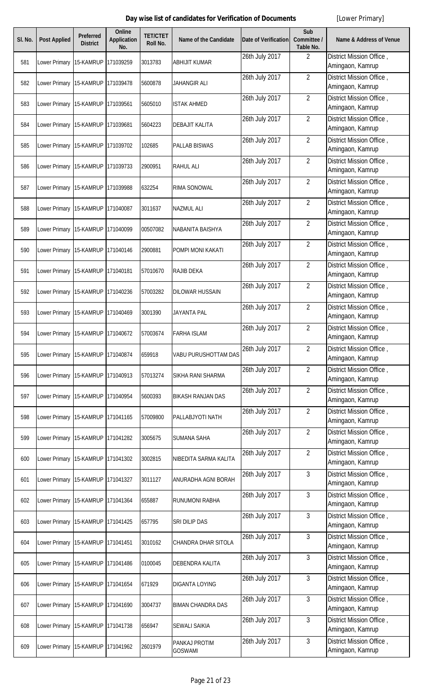| SI. No. | <b>Post Applied</b>                   | Preferred<br><b>District</b> | Online<br><b>Application</b><br>No. | <b>TET/CTET</b><br>Roll No. | <b>Name of the Candidate</b>    | <b>Date of Verification</b> | Sub<br>Committee /<br>Table No. | <b>Name &amp; Address of Venue</b>           |
|---------|---------------------------------------|------------------------------|-------------------------------------|-----------------------------|---------------------------------|-----------------------------|---------------------------------|----------------------------------------------|
| 581     | Lower Primary                         | 15-KAMRUP                    | 171039259                           | 3013783                     | <b>ABHIJIT KUMAR</b>            | 26th July 2017              | $\overline{2}$                  | District Mission Office,<br>Amingaon, Kamrup |
| 582     | Lower Primary 15-KAMRUP               |                              | 171039478                           | 5600878                     | JAHANGIR ALI                    | 26th July 2017              | $\overline{2}$                  | District Mission Office,<br>Amingaon, Kamrup |
| 583     | Lower Primary 15-KAMRUP               |                              | 171039561                           | 5605010                     | <b>ISTAK AHMED</b>              | 26th July 2017              | $\overline{2}$                  | District Mission Office,<br>Amingaon, Kamrup |
| 584     | Lower Primary 15-KAMRUP               |                              | 171039681                           | 5604223                     | <b>DEBAJIT KALITA</b>           | 26th July 2017              | $\overline{2}$                  | District Mission Office,<br>Amingaon, Kamrup |
| 585     | Lower Primary   15-KAMRUP   171039702 |                              |                                     | 102685                      | <b>PALLAB BISWAS</b>            | 26th July 2017              | $\overline{2}$                  | District Mission Office,<br>Amingaon, Kamrup |
| 586     | Lower Primary 15-KAMRUP               |                              | 171039733                           | 2900951                     | <b>RAHUL ALI</b>                | 26th July 2017              | $\overline{2}$                  | District Mission Office,<br>Amingaon, Kamrup |
| 587     | Lower Primary 15-KAMRUP               |                              | 171039988                           | 632254                      | <b>RIMA SONOWAL</b>             | 26th July 2017              | $\overline{2}$                  | District Mission Office,<br>Amingaon, Kamrup |
| 588     | Lower Primary                         | 15-KAMRUP                    | 171040087                           | 3011637                     | <b>NAZMUL ALI</b>               | 26th July 2017              | $\overline{2}$                  | District Mission Office,<br>Amingaon, Kamrup |
| 589     | Lower Primary 15-KAMRUP               |                              | 171040099                           | 00507082                    | NABANITA BAISHYA                | 26th July 2017              | $\overline{2}$                  | District Mission Office,<br>Amingaon, Kamrup |
| 590     | Lower Primary                         | 15-KAMRUP                    | 171040146                           | 2900881                     | POMPI MONI KAKATI               | 26th July 2017              | $\overline{2}$                  | District Mission Office,<br>Amingaon, Kamrup |
| 591     | Lower Primary 15-KAMRUP               |                              | 171040181                           | 57010670                    | <b>RAJIB DEKA</b>               | 26th July 2017              | $\overline{2}$                  | District Mission Office,<br>Amingaon, Kamrup |
| 592     | Lower Primary                         | 15-KAMRUP                    | 171040236                           | 57003282                    | <b>DILOWAR HUSSAIN</b>          | 26th July 2017              | $\overline{2}$                  | District Mission Office,<br>Amingaon, Kamrup |
| 593     | Lower Primary 15-KAMRUP               |                              | 171040469                           | 3001390                     | <b>JAYANTA PAL</b>              | 26th July 2017              | $\overline{2}$                  | District Mission Office,<br>Amingaon, Kamrup |
| 594     | ower Primary 15-KAMRUP 171040672      |                              |                                     | 57003674                    | <b>FARHA ISLAM</b>              | 26th July 2017              | $\overline{2}$                  | District Mission Office,<br>Amingaon, Kamrup |
| 595     | Lower Primary                         | 15-KAMRUP                    | 171040874                           | 659918                      | VABU PURUSHOTTAM DAS            | 26th July 2017              | $\overline{2}$                  | District Mission Office,<br>Amingaon, Kamrup |
| 596     | Lower Primary 15-KAMRUP               |                              | 171040913                           | 57013274                    | SIKHA RANI SHARMA               | 26th July 2017              | $\overline{2}$                  | District Mission Office,<br>Amingaon, Kamrup |
| 597     | Lower Primary                         | 15-KAMRUP                    | 171040954                           | 5600393                     | <b>BIKASH RANJAN DAS</b>        | 26th July 2017              | $\overline{2}$                  | District Mission Office,<br>Amingaon, Kamrup |
| 598     | Lower Primary 15-KAMRUP 171041165     |                              |                                     | 57009800                    | PALLABJYOTI NATH                | 26th July 2017              | $\overline{2}$                  | District Mission Office,<br>Amingaon, Kamrup |
| 599     | Lower Primary                         | 15-KAMRUP                    | 171041282                           | 3005675                     | <b>SUMANA SAHA</b>              | 26th July 2017              | $\overline{2}$                  | District Mission Office,<br>Amingaon, Kamrup |
| 600     | Lower Primary 15-KAMRUP               |                              | 171041302                           | 3002815                     | NIBEDITA SARMA KALITA           | 26th July 2017              | $\overline{2}$                  | District Mission Office,<br>Amingaon, Kamrup |
| 601     | Lower Primary 15-KAMRUP 171041327     |                              |                                     | 3011127                     | ANURADHA AGNI BORAH             | 26th July 2017              | 3                               | District Mission Office,<br>Amingaon, Kamrup |
| 602     | Lower Primary 15-KAMRUP               |                              | 171041364                           | 655887                      | RUNUMONI RABHA                  | 26th July 2017              | 3                               | District Mission Office,<br>Amingaon, Kamrup |
| 603     | Lower Primary 15-KAMRUP 171041425     |                              |                                     | 657795                      | SRI DILIP DAS                   | 26th July 2017              | 3                               | District Mission Office,<br>Amingaon, Kamrup |
| 604     | Lower Primary 15-KAMRUP               |                              | 171041451                           | 3010162                     | CHANDRA DHAR SITOLA             | 26th July 2017              | 3                               | District Mission Office,<br>Amingaon, Kamrup |
| 605     | Lower Primary 15-KAMRUP               |                              | 171041486                           | 0100045                     | DEBENDRA KALITA                 | 26th July 2017              | 3                               | District Mission Office,<br>Amingaon, Kamrup |
| 606     | Lower Primary                         | 15-KAMRUP                    | 171041654                           | 671929                      | <b>DIGANTA LOYING</b>           | 26th July 2017              | 3                               | District Mission Office,<br>Amingaon, Kamrup |
| 607     | Lower Primary 15-KAMRUP               |                              | 171041690                           | 3004737                     | <b>BIMAN CHANDRA DAS</b>        | 26th July 2017              | 3                               | District Mission Office,<br>Amingaon, Kamrup |
| 608     | Lower Primary                         | 15-KAMRUP                    | 171041738                           | 656947                      | <b>SEWALI SAIKIA</b>            | 26th July 2017              | 3                               | District Mission Office,<br>Amingaon, Kamrup |
| 609     | Lower Primary 15-KAMRUP 171041962     |                              |                                     | 2601979                     | PANKAJ PROTIM<br><b>GOSWAMI</b> | 26th July 2017              | 3                               | District Mission Office,<br>Amingaon, Kamrup |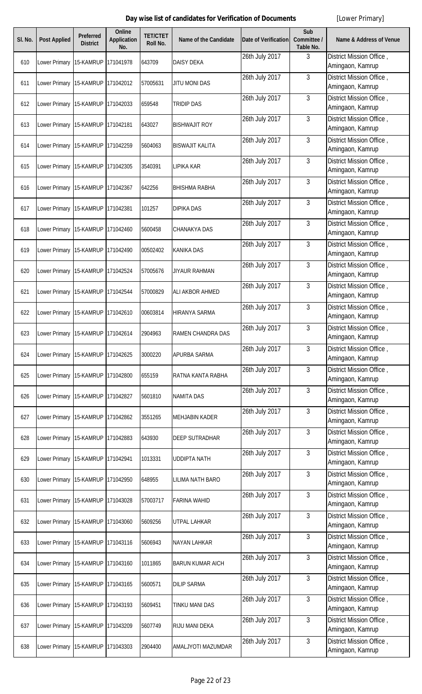| SI. No. | <b>Post Applied</b>               | <b>Preferred</b><br><b>District</b> | <b>Online</b><br><b>Application</b><br>No. | <b>TET/CTET</b><br><b>Roll No.</b> | Name of the Candidate   | Date of Verification | Sub<br>Committee /<br>Table No. | <b>Name &amp; Address of Venue</b>           |
|---------|-----------------------------------|-------------------------------------|--------------------------------------------|------------------------------------|-------------------------|----------------------|---------------------------------|----------------------------------------------|
| 610     | Lower Primary                     | 15-KAMRUP                           | 171041978                                  | 643709                             | <b>DAISY DEKA</b>       | 26th July 2017       | 3                               | District Mission Office,<br>Amingaon, Kamrup |
| 611     | Lower Primary 15-KAMRUP           |                                     | 171042012                                  | 57005631                           | <b>JITU MONI DAS</b>    | 26th July 2017       | $\mathfrak{Z}$                  | District Mission Office,<br>Amingaon, Kamrup |
| 612     | Lower Primary                     | 15-KAMRUP                           | 171042033                                  | 659548                             | <b>TRIDIP DAS</b>       | 26th July 2017       | 3                               | District Mission Office,<br>Amingaon, Kamrup |
| 613     | Lower Primary 15-KAMRUP           |                                     | 171042181                                  | 643027                             | <b>BISHWAJIT ROY</b>    | 26th July 2017       | 3                               | District Mission Office,<br>Amingaon, Kamrup |
| 614     | Lower Primary                     | 15-KAMRUP                           | 171042259                                  | 5604063                            | <b>BISWAJIT KALITA</b>  | 26th July 2017       | 3                               | District Mission Office,<br>Amingaon, Kamrup |
| 615     | Lower Primary 15-KAMRUP           |                                     | 171042305                                  | 3540391                            | <b>LIPIKA KAR</b>       | 26th July 2017       | 3                               | District Mission Office,<br>Amingaon, Kamrup |
| 616     | Lower Primary 15-KAMRUP           |                                     | 171042367                                  | 642256                             | <b>BHISHMA RABHA</b>    | 26th July 2017       | $\mathbf{3}$                    | District Mission Office,<br>Amingaon, Kamrup |
| 617     | Lower Primary 15-KAMRUP           |                                     | 171042381                                  | 101257                             | <b>DIPIKA DAS</b>       | 26th July 2017       | 3                               | District Mission Office,<br>Amingaon, Kamrup |
| 618     | Lower Primary 15-KAMRUP           |                                     | 171042460                                  | 5600458                            | <b>CHANAKYA DAS</b>     | 26th July 2017       | 3                               | District Mission Office,<br>Amingaon, Kamrup |
| 619     | Lower Primary 15-KAMRUP           |                                     | 171042490                                  | 00502402                           | <b>KANIKA DAS</b>       | 26th July 2017       | 3                               | District Mission Office,<br>Amingaon, Kamrup |
| 620     | Lower Primary 15-KAMRUP           |                                     | 171042524                                  | 57005676                           | <b>JIYAUR RAHMAN</b>    | 26th July 2017       | 3                               | District Mission Office,<br>Amingaon, Kamrup |
| 621     | Lower Primary 15-KAMRUP           |                                     | 171042544                                  | 57000829                           | ALI AKBOR AHMED         | 26th July 2017       | 3                               | District Mission Office,<br>Amingaon, Kamrup |
| 622     | Lower Primary 15-KAMRUP           |                                     | 171042610                                  | 00603814                           | <b>HIRANYA SARMA</b>    | 26th July 2017       | 3                               | District Mission Office,<br>Amingaon, Kamrup |
| 623     | Lower Primary 15-KAMRUP 171042614 |                                     |                                            | 2904963                            | RAMEN CHANDRA DAS       | 26th July 2017       | 3                               | District Mission Office,<br>Amingaon, Kamrup |
| 624     | Lower Primary                     | 15-KAMRUP                           | 171042625                                  | 3000220                            | APURBA SARMA            | 26th July 2017       | 3                               | District Mission Office,<br>Amingaon, Kamrup |
| 625     | Lower Primary 15-KAMRUP           |                                     | 171042800                                  | 655159                             | RATNA KANTA RABHA       | 26th July 2017       | $\mathbf{3}$                    | District Mission Office,<br>Amingaon, Kamrup |
| 626     | Lower Primary                     | 15-KAMRUP                           | 171042827                                  | 5601810                            | <b>NAMITA DAS</b>       | 26th July 2017       | $\mathbf{3}$                    | District Mission Office,<br>Amingaon, Kamrup |
| 627     | Lower Primary 15-KAMRUP           |                                     | 171042862                                  | 3551265                            | <b>MEHJABIN KADER</b>   | 26th July 2017       | 3                               | District Mission Office,<br>Amingaon, Kamrup |
| 628     | Lower Primary 15-KAMRUP           |                                     | 171042883                                  | 643930                             | <b>DEEP SUTRADHAR</b>   | 26th July 2017       | 3                               | District Mission Office,<br>Amingaon, Kamrup |
| 629     | Lower Primary 15-KAMRUP           |                                     | 171042941                                  | 1013331                            | <b>UDDIPTA NATH</b>     | 26th July 2017       | $\mathbf{3}$                    | District Mission Office,<br>Amingaon, Kamrup |
| 630     | Lower Primary                     | 15-KAMRUP                           | 171042950                                  | 648955                             | <b>LILIMA NATH BARO</b> | 26th July 2017       | $\overline{3}$                  | District Mission Office,<br>Amingaon, Kamrup |
| 631     | Lower Primary 15-KAMRUP           |                                     | 171043028                                  | 57003717                           | <b>FARINA WAHID</b>     | 26th July 2017       | 3                               | District Mission Office,<br>Amingaon, Kamrup |
| 632     | Lower Primary 15-KAMRUP           |                                     | 171043060                                  | 5609256                            | <b>UTPAL LAHKAR</b>     | 26th July 2017       | $\mathfrak{Z}$                  | District Mission Office,<br>Amingaon, Kamrup |
| 633     | Lower Primary 15-KAMRUP           |                                     | 171043116                                  | 5606943                            | <b>NAYAN LAHKAR</b>     | 26th July 2017       | $\mathbf{3}$                    | District Mission Office,<br>Amingaon, Kamrup |
| 634     | Lower Primary 15-KAMRUP           |                                     | 171043160                                  | 1011865                            | <b>BARUN KUMAR AICH</b> | 26th July 2017       | $\mathbf{3}$                    | District Mission Office,<br>Amingaon, Kamrup |
| 635     | Lower Primary 15-KAMRUP           |                                     | 171043165                                  | 5600571                            | <b>DILIP SARMA</b>      | 26th July 2017       | 3                               | District Mission Office,<br>Amingaon, Kamrup |
| 636     | Lower Primary 15-KAMRUP           |                                     | 171043193                                  | 5609451                            | <b>TINKU MANI DAS</b>   | 26th July 2017       | 3                               | District Mission Office,<br>Amingaon, Kamrup |
| 637     | Lower Primary 15-KAMRUP           |                                     | 171043209                                  | 5607749                            | RIJU MANI DEKA          | 26th July 2017       | 3                               | District Mission Office,<br>Amingaon, Kamrup |
| 638     | Lower Primary 15-KAMRUP 171043303 |                                     |                                            | 2904400                            | AMALJYOTI MAZUMDAR      | 26th July 2017       | 3                               | District Mission Office,<br>Amingaon, Kamrup |